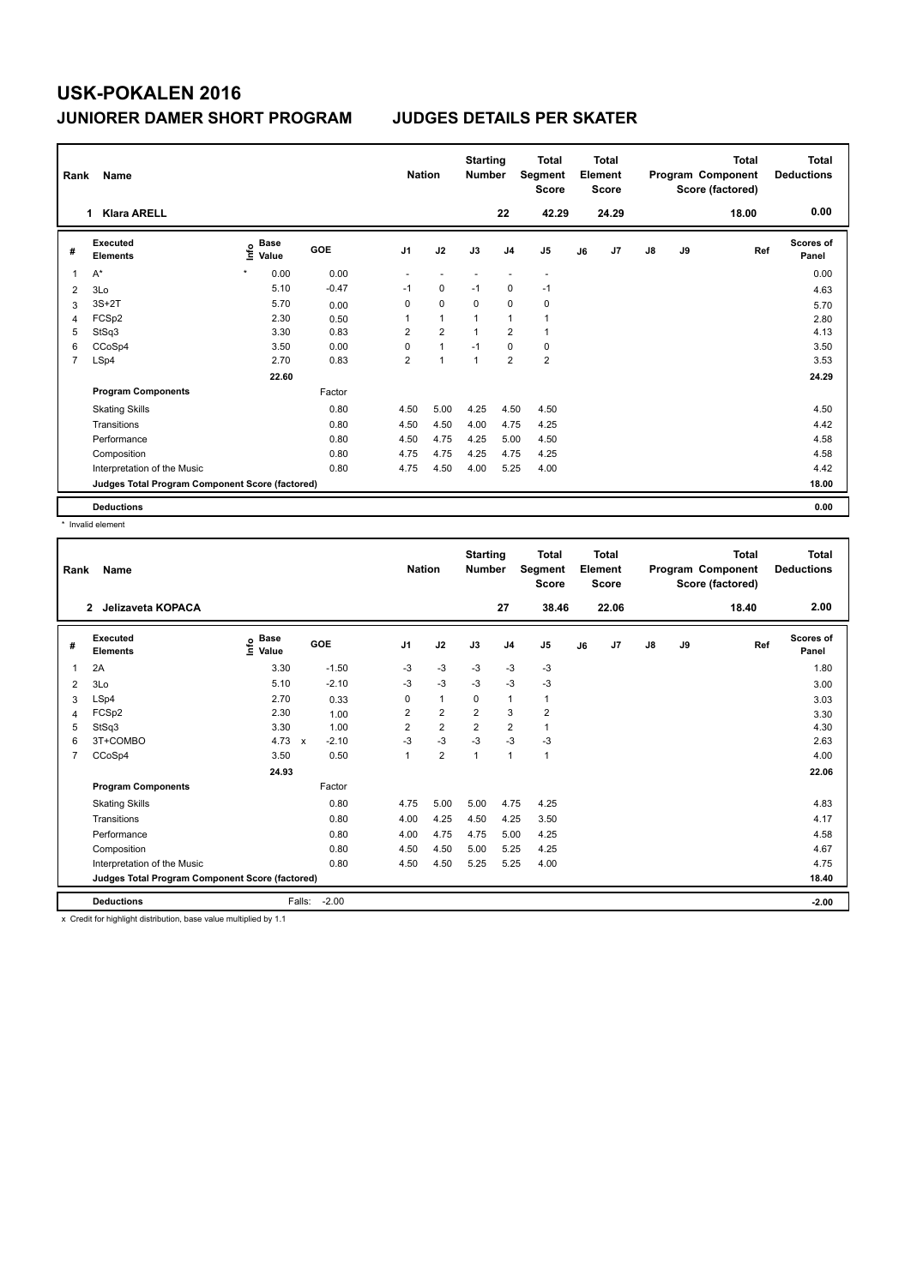| Rank           | Name                                            |                                  |         | <b>Nation</b>  |                | <b>Starting</b><br><b>Number</b> |                | Total<br>Segment<br><b>Score</b> |    | <b>Total</b><br>Element<br><b>Score</b> |    |    | <b>Total</b><br>Program Component<br>Score (factored) | <b>Total</b><br><b>Deductions</b> |
|----------------|-------------------------------------------------|----------------------------------|---------|----------------|----------------|----------------------------------|----------------|----------------------------------|----|-----------------------------------------|----|----|-------------------------------------------------------|-----------------------------------|
|                | <b>Klara ARELL</b><br>1                         |                                  |         |                |                |                                  | 22             | 42.29                            |    | 24.29                                   |    |    | 18.00                                                 | 0.00                              |
| #              | <b>Executed</b><br><b>Elements</b>              | <b>Base</b><br>e Base<br>⊆ Value | GOE     | J1             | J2             | J3                               | J <sub>4</sub> | J <sub>5</sub>                   | J6 | J <sub>7</sub>                          | J8 | J9 | Ref                                                   | Scores of<br>Panel                |
| 1              | $A^*$                                           | 0.00<br>$\star$                  | 0.00    |                |                |                                  |                | $\overline{\phantom{a}}$         |    |                                         |    |    |                                                       | 0.00                              |
| 2              | 3Lo                                             | 5.10                             | $-0.47$ | $-1$           | $\mathbf 0$    | $-1$                             | $\mathbf 0$    | $-1$                             |    |                                         |    |    |                                                       | 4.63                              |
| 3              | $3S+2T$                                         | 5.70                             | 0.00    | 0              | $\mathbf 0$    | 0                                | 0              | 0                                |    |                                         |    |    |                                                       | 5.70                              |
| 4              | FCSp2                                           | 2.30                             | 0.50    | 1              | $\mathbf{1}$   | 1                                | $\overline{1}$ | 1                                |    |                                         |    |    |                                                       | 2.80                              |
| 5              | StSq3                                           | 3.30                             | 0.83    | 2              | $\overline{2}$ | 1                                | $\overline{2}$ | 1                                |    |                                         |    |    |                                                       | 4.13                              |
| 6              | CCoSp4                                          | 3.50                             | 0.00    | 0              | 1              | $-1$                             | $\mathbf 0$    | $\pmb{0}$                        |    |                                         |    |    |                                                       | 3.50                              |
| $\overline{7}$ | LSp4                                            | 2.70                             | 0.83    | $\overline{2}$ | 1              | $\mathbf{1}$                     | $\overline{2}$ | $\overline{2}$                   |    |                                         |    |    |                                                       | 3.53                              |
|                |                                                 | 22.60                            |         |                |                |                                  |                |                                  |    |                                         |    |    |                                                       | 24.29                             |
|                | <b>Program Components</b>                       |                                  | Factor  |                |                |                                  |                |                                  |    |                                         |    |    |                                                       |                                   |
|                | <b>Skating Skills</b>                           |                                  | 0.80    | 4.50           | 5.00           | 4.25                             | 4.50           | 4.50                             |    |                                         |    |    |                                                       | 4.50                              |
|                | Transitions                                     |                                  | 0.80    | 4.50           | 4.50           | 4.00                             | 4.75           | 4.25                             |    |                                         |    |    |                                                       | 4.42                              |
|                | Performance                                     |                                  | 0.80    | 4.50           | 4.75           | 4.25                             | 5.00           | 4.50                             |    |                                         |    |    |                                                       | 4.58                              |
|                | Composition                                     |                                  | 0.80    | 4.75           | 4.75           | 4.25                             | 4.75           | 4.25                             |    |                                         |    |    |                                                       | 4.58                              |
|                | Interpretation of the Music                     |                                  | 0.80    | 4.75           | 4.50           | 4.00                             | 5.25           | 4.00                             |    |                                         |    |    |                                                       | 4.42                              |
|                | Judges Total Program Component Score (factored) |                                  |         |                |                |                                  |                |                                  |    |                                         |    |    |                                                       | 18.00                             |
|                | <b>Deductions</b>                               |                                  |         |                |                |                                  |                |                                  |    |                                         |    |    |                                                       | 0.00                              |

\* Invalid element

| Rank | <b>Name</b>                                     |                            |                           |         |                | <b>Nation</b>  | <b>Starting</b><br><b>Number</b> |                | <b>Total</b><br>Segment<br><b>Score</b> |    | <b>Total</b><br>Element<br><b>Score</b> |               |    | <b>Total</b><br>Program Component<br>Score (factored) | <b>Total</b><br><b>Deductions</b> |
|------|-------------------------------------------------|----------------------------|---------------------------|---------|----------------|----------------|----------------------------------|----------------|-----------------------------------------|----|-----------------------------------------|---------------|----|-------------------------------------------------------|-----------------------------------|
|      | $\mathbf{2}$<br>Jelizaveta KOPACA               |                            |                           |         |                |                |                                  | 27             | 38.46                                   |    | 22.06                                   |               |    | 18.40                                                 | 2.00                              |
| #    | Executed<br><b>Elements</b>                     | <b>Base</b><br>۴٥<br>Value | GOE                       |         | J <sub>1</sub> | J2             | J3                               | J <sub>4</sub> | J <sub>5</sub>                          | J6 | J <sub>7</sub>                          | $\mathsf{J}8$ | J9 | Ref                                                   | Scores of<br>Panel                |
| 1    | 2A                                              | 3.30                       |                           | $-1.50$ | $-3$           | $-3$           | $-3$                             | $-3$           | $-3$                                    |    |                                         |               |    |                                                       | 1.80                              |
| 2    | 3Lo                                             | 5.10                       |                           | $-2.10$ | $-3$           | $-3$           | $-3$                             | $-3$           | $-3$                                    |    |                                         |               |    |                                                       | 3.00                              |
| 3    | LSp4                                            | 2.70                       |                           | 0.33    | 0              | $\mathbf{1}$   | 0                                | 1              | 1                                       |    |                                         |               |    |                                                       | 3.03                              |
| 4    | FCSp2                                           | 2.30                       |                           | 1.00    | 2              | $\overline{2}$ | $\overline{2}$                   | 3              | $\overline{2}$                          |    |                                         |               |    |                                                       | 3.30                              |
| 5    | StSq3                                           | 3.30                       |                           | 1.00    | $\overline{2}$ | $\overline{2}$ | $\overline{2}$                   | 2              | 1                                       |    |                                         |               |    |                                                       | 4.30                              |
| 6    | 3T+COMBO                                        | 4.73                       | $\boldsymbol{\mathsf{x}}$ | $-2.10$ | $-3$           | $-3$           | $-3$                             | $-3$           | $-3$                                    |    |                                         |               |    |                                                       | 2.63                              |
| 7    | CCoSp4                                          | 3.50                       |                           | 0.50    | 1              | $\overline{2}$ | $\overline{1}$                   | $\mathbf{1}$   | $\mathbf{1}$                            |    |                                         |               |    |                                                       | 4.00                              |
|      |                                                 | 24.93                      |                           |         |                |                |                                  |                |                                         |    |                                         |               |    |                                                       | 22.06                             |
|      | <b>Program Components</b>                       |                            |                           | Factor  |                |                |                                  |                |                                         |    |                                         |               |    |                                                       |                                   |
|      | <b>Skating Skills</b>                           |                            |                           | 0.80    | 4.75           | 5.00           | 5.00                             | 4.75           | 4.25                                    |    |                                         |               |    |                                                       | 4.83                              |
|      | Transitions                                     |                            |                           | 0.80    | 4.00           | 4.25           | 4.50                             | 4.25           | 3.50                                    |    |                                         |               |    |                                                       | 4.17                              |
|      | Performance                                     |                            |                           | 0.80    | 4.00           | 4.75           | 4.75                             | 5.00           | 4.25                                    |    |                                         |               |    |                                                       | 4.58                              |
|      | Composition                                     |                            |                           | 0.80    | 4.50           | 4.50           | 5.00                             | 5.25           | 4.25                                    |    |                                         |               |    |                                                       | 4.67                              |
|      | Interpretation of the Music                     |                            |                           | 0.80    | 4.50           | 4.50           | 5.25                             | 5.25           | 4.00                                    |    |                                         |               |    |                                                       | 4.75                              |
|      | Judges Total Program Component Score (factored) |                            |                           |         |                |                |                                  |                |                                         |    |                                         |               |    |                                                       | 18.40                             |
|      | <b>Deductions</b>                               |                            | Falls:                    | $-2.00$ |                |                |                                  |                |                                         |    |                                         |               |    |                                                       | $-2.00$                           |

x Credit for highlight distribution, base value multiplied by 1.1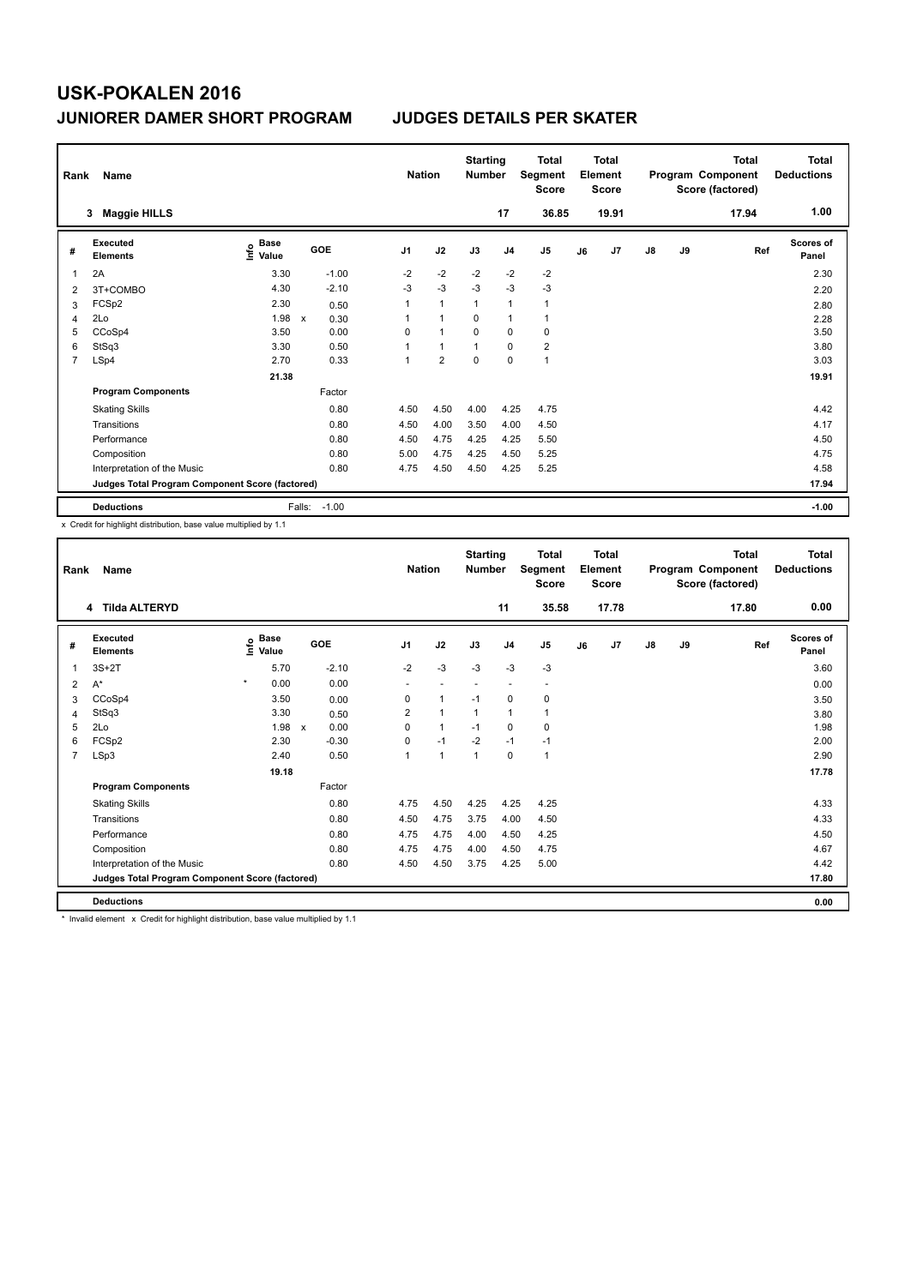| Rank | Name                                            |                                  |              |         |                | <b>Nation</b>  | <b>Starting</b><br><b>Number</b> |                | <b>Total</b><br>Segment<br><b>Score</b> |    | <b>Total</b><br>Element<br><b>Score</b> |               |    | <b>Total</b><br>Program Component<br>Score (factored) | Total<br><b>Deductions</b> |
|------|-------------------------------------------------|----------------------------------|--------------|---------|----------------|----------------|----------------------------------|----------------|-----------------------------------------|----|-----------------------------------------|---------------|----|-------------------------------------------------------|----------------------------|
|      | <b>Maggie HILLS</b><br>3                        |                                  |              |         |                |                |                                  | 17             | 36.85                                   |    | 19.91                                   |               |    | 17.94                                                 | 1.00                       |
| #    | Executed<br><b>Elements</b>                     | <b>Base</b><br>e Base<br>⊆ Value | GOE          |         | J <sub>1</sub> | J2             | J3                               | J <sub>4</sub> | J <sub>5</sub>                          | J6 | J7                                      | $\mathsf{J}8$ | J9 | Ref                                                   | Scores of<br>Panel         |
| 1    | 2A                                              | 3.30                             |              | $-1.00$ | $-2$           | $-2$           | $-2$                             | $-2$           | $-2$                                    |    |                                         |               |    |                                                       | 2.30                       |
| 2    | 3T+COMBO                                        | 4.30                             |              | $-2.10$ | $-3$           | $-3$           | $-3$                             | $-3$           | $-3$                                    |    |                                         |               |    |                                                       | 2.20                       |
| 3    | FCSp2                                           | 2.30                             |              | 0.50    | 1              | $\mathbf{1}$   | $\overline{1}$                   | $\overline{1}$ | 1                                       |    |                                         |               |    |                                                       | 2.80                       |
| 4    | 2Lo                                             | 1.98                             | $\mathsf{x}$ | 0.30    | 1              | $\mathbf{1}$   | $\Omega$                         | $\overline{1}$ | 1                                       |    |                                         |               |    |                                                       | 2.28                       |
| 5    | CCoSp4                                          | 3.50                             |              | 0.00    | 0              | $\mathbf{1}$   | $\mathbf 0$                      | $\mathbf 0$    | 0                                       |    |                                         |               |    |                                                       | 3.50                       |
| 6    | StSq3                                           | 3.30                             |              | 0.50    | 1              | $\mathbf{1}$   | $\mathbf{1}$                     | 0              | $\overline{2}$                          |    |                                         |               |    |                                                       | 3.80                       |
| 7    | LSp4                                            | 2.70                             |              | 0.33    | $\mathbf 1$    | $\overline{2}$ | $\mathbf 0$                      | $\mathbf 0$    | $\mathbf{1}$                            |    |                                         |               |    |                                                       | 3.03                       |
|      |                                                 | 21.38                            |              |         |                |                |                                  |                |                                         |    |                                         |               |    |                                                       | 19.91                      |
|      | <b>Program Components</b>                       |                                  |              | Factor  |                |                |                                  |                |                                         |    |                                         |               |    |                                                       |                            |
|      | <b>Skating Skills</b>                           |                                  |              | 0.80    | 4.50           | 4.50           | 4.00                             | 4.25           | 4.75                                    |    |                                         |               |    |                                                       | 4.42                       |
|      | Transitions                                     |                                  |              | 0.80    | 4.50           | 4.00           | 3.50                             | 4.00           | 4.50                                    |    |                                         |               |    |                                                       | 4.17                       |
|      | Performance                                     |                                  |              | 0.80    | 4.50           | 4.75           | 4.25                             | 4.25           | 5.50                                    |    |                                         |               |    |                                                       | 4.50                       |
|      | Composition                                     |                                  |              | 0.80    | 5.00           | 4.75           | 4.25                             | 4.50           | 5.25                                    |    |                                         |               |    |                                                       | 4.75                       |
|      | Interpretation of the Music                     |                                  |              | 0.80    | 4.75           | 4.50           | 4.50                             | 4.25           | 5.25                                    |    |                                         |               |    |                                                       | 4.58                       |
|      | Judges Total Program Component Score (factored) |                                  |              |         |                |                |                                  |                |                                         |    |                                         |               |    |                                                       | 17.94                      |
|      | <b>Deductions</b>                               |                                  | Falls:       | $-1.00$ |                |                |                                  |                |                                         |    |                                         |               |    |                                                       | $-1.00$                    |

x Credit for highlight distribution, base value multiplied by 1.1

| Rank           | Name                                            |                                                    |                      | <b>Nation</b>            |                      | <b>Starting</b><br><b>Number</b> |                          | <b>Total</b><br>Segment<br><b>Score</b> |    | <b>Total</b><br>Element<br><b>Score</b> |               |    | <b>Total</b><br>Program Component<br>Score (factored) | <b>Total</b><br><b>Deductions</b> |
|----------------|-------------------------------------------------|----------------------------------------------------|----------------------|--------------------------|----------------------|----------------------------------|--------------------------|-----------------------------------------|----|-----------------------------------------|---------------|----|-------------------------------------------------------|-----------------------------------|
|                | 4 Tilda ALTERYD                                 |                                                    |                      |                          |                      |                                  | 11                       | 35.58                                   |    | 17.78                                   |               |    | 17.80                                                 | 0.00                              |
| #              | Executed<br><b>Elements</b>                     | $\frac{e}{E}$ Base<br>$\frac{e}{E}$ Value<br>Value | GOE                  | J <sub>1</sub>           | J2                   | J3                               | J <sub>4</sub>           | J5                                      | J6 | J <sub>7</sub>                          | $\mathsf{J}8$ | J9 | Ref                                                   | <b>Scores of</b><br>Panel         |
| 1              | $3S+2T$                                         | 5.70                                               | $-2.10$              | $-2$                     | $-3$                 | $-3$                             | $-3$                     | $-3$                                    |    |                                         |               |    |                                                       | 3.60                              |
| 2              | $A^*$                                           | $\star$<br>0.00                                    | 0.00                 | $\overline{\phantom{a}}$ |                      |                                  | $\overline{\phantom{a}}$ | $\overline{\phantom{a}}$                |    |                                         |               |    |                                                       | 0.00                              |
| 3              | CCoSp4                                          | 3.50                                               | 0.00                 | 0                        | $\mathbf{1}$         | $-1$                             | 0                        | 0                                       |    |                                         |               |    |                                                       | 3.50                              |
| 4              | StSq3                                           | 3.30                                               | 0.50                 | 2                        | $\blacktriangleleft$ | $\mathbf 1$                      | 1                        | 1                                       |    |                                         |               |    |                                                       | 3.80                              |
| 5              | 2Lo                                             | 1.98                                               | 0.00<br>$\mathsf{x}$ | 0                        | $\mathbf{1}$         | $-1$                             | $\Omega$                 | 0                                       |    |                                         |               |    |                                                       | 1.98                              |
| 6              | FCSp2                                           | 2.30                                               | $-0.30$              | $\mathbf 0$              | $-1$                 | $-2$                             | $-1$                     | $-1$                                    |    |                                         |               |    |                                                       | 2.00                              |
| $\overline{7}$ | LSp3                                            | 2.40                                               | 0.50                 | $\overline{1}$           | $\blacktriangleleft$ | $\overline{1}$                   | 0                        | 1                                       |    |                                         |               |    |                                                       | 2.90                              |
|                |                                                 | 19.18                                              |                      |                          |                      |                                  |                          |                                         |    |                                         |               |    |                                                       | 17.78                             |
|                | <b>Program Components</b>                       |                                                    | Factor               |                          |                      |                                  |                          |                                         |    |                                         |               |    |                                                       |                                   |
|                | <b>Skating Skills</b>                           |                                                    | 0.80                 | 4.75                     | 4.50                 | 4.25                             | 4.25                     | 4.25                                    |    |                                         |               |    |                                                       | 4.33                              |
|                | Transitions                                     |                                                    | 0.80                 | 4.50                     | 4.75                 | 3.75                             | 4.00                     | 4.50                                    |    |                                         |               |    |                                                       | 4.33                              |
|                | Performance                                     |                                                    | 0.80                 | 4.75                     | 4.75                 | 4.00                             | 4.50                     | 4.25                                    |    |                                         |               |    |                                                       | 4.50                              |
|                | Composition                                     |                                                    | 0.80                 | 4.75                     | 4.75                 | 4.00                             | 4.50                     | 4.75                                    |    |                                         |               |    |                                                       | 4.67                              |
|                | Interpretation of the Music                     |                                                    | 0.80                 | 4.50                     | 4.50                 | 3.75                             | 4.25                     | 5.00                                    |    |                                         |               |    |                                                       | 4.42                              |
|                | Judges Total Program Component Score (factored) |                                                    |                      |                          |                      |                                  |                          |                                         |    |                                         |               |    |                                                       | 17.80                             |
|                | <b>Deductions</b>                               |                                                    |                      |                          |                      |                                  |                          |                                         |    |                                         |               |    |                                                       | 0.00                              |

\* Invalid element x Credit for highlight distribution, base value multiplied by 1.1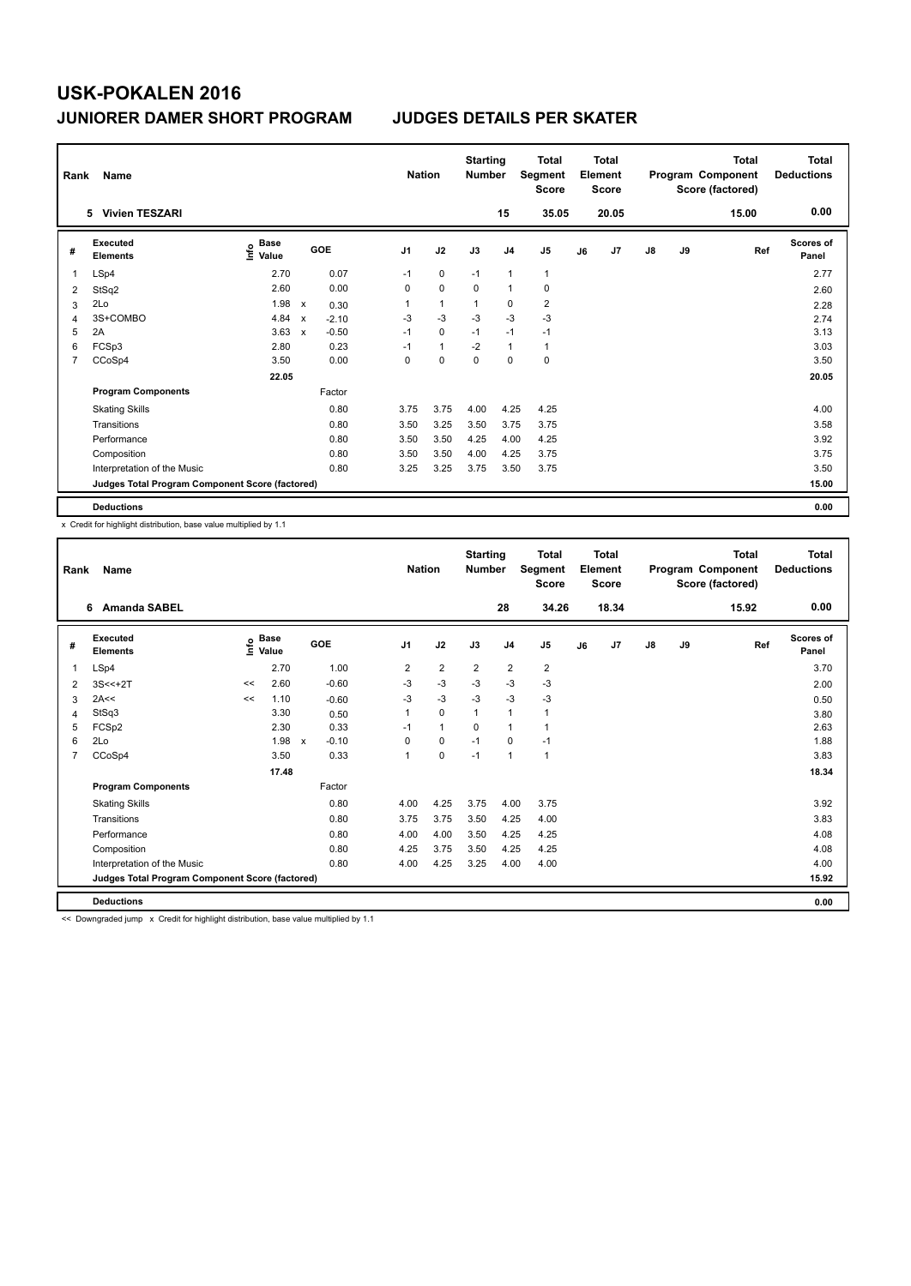| Rank           | Name                                            |                           |                           |         | <b>Nation</b>  |                | <b>Starting</b><br><b>Number</b> |                | <b>Total</b><br>Segment<br><b>Score</b> |    | <b>Total</b><br>Element<br><b>Score</b> |               |    | <b>Total</b><br>Program Component<br>Score (factored) | <b>Total</b><br><b>Deductions</b> |
|----------------|-------------------------------------------------|---------------------------|---------------------------|---------|----------------|----------------|----------------------------------|----------------|-----------------------------------------|----|-----------------------------------------|---------------|----|-------------------------------------------------------|-----------------------------------|
|                | <b>Vivien TESZARI</b><br>5.                     |                           |                           |         |                |                |                                  | 15             | 35.05                                   |    | 20.05                                   |               |    | 15.00                                                 | 0.00                              |
| #              | <b>Executed</b><br><b>Elements</b>              | Base<br>e Base<br>⊆ Value |                           | GOE     | J <sub>1</sub> | J2             | J3                               | J <sub>4</sub> | J <sub>5</sub>                          | J6 | J7                                      | $\mathsf{J}8$ | J9 | Ref                                                   | <b>Scores of</b><br>Panel         |
| 1              | LSp4                                            | 2.70                      |                           | 0.07    | $-1$           | 0              | $-1$                             | $\overline{1}$ | $\mathbf{1}$                            |    |                                         |               |    |                                                       | 2.77                              |
| 2              | StSq2                                           | 2.60                      |                           | 0.00    | 0              | $\mathbf 0$    | 0                                | $\overline{1}$ | $\pmb{0}$                               |    |                                         |               |    |                                                       | 2.60                              |
| 3              | 2Lo                                             | 1.98                      | $\boldsymbol{\mathsf{x}}$ | 0.30    | 1              | $\overline{1}$ | 1                                | 0              | $\overline{2}$                          |    |                                         |               |    |                                                       | 2.28                              |
| 4              | 3S+COMBO                                        | 4.84                      | $\boldsymbol{\mathsf{x}}$ | $-2.10$ | $-3$           | $-3$           | $-3$                             | $-3$           | $-3$                                    |    |                                         |               |    |                                                       | 2.74                              |
| 5              | 2A                                              | 3.63                      | $\mathsf{x}$              | $-0.50$ | $-1$           | $\mathbf 0$    | $-1$                             | $-1$           | $-1$                                    |    |                                         |               |    |                                                       | 3.13                              |
| 6              | FCSp3                                           | 2.80                      |                           | 0.23    | $-1$           | $\mathbf{1}$   | $-2$                             | $\overline{1}$ | $\mathbf{1}$                            |    |                                         |               |    |                                                       | 3.03                              |
| $\overline{7}$ | CCoSp4                                          | 3.50                      |                           | 0.00    | 0              | $\mathbf 0$    | $\mathbf 0$                      | $\mathbf 0$    | 0                                       |    |                                         |               |    |                                                       | 3.50                              |
|                |                                                 | 22.05                     |                           |         |                |                |                                  |                |                                         |    |                                         |               |    |                                                       | 20.05                             |
|                | <b>Program Components</b>                       |                           |                           | Factor  |                |                |                                  |                |                                         |    |                                         |               |    |                                                       |                                   |
|                | <b>Skating Skills</b>                           |                           |                           | 0.80    | 3.75           | 3.75           | 4.00                             | 4.25           | 4.25                                    |    |                                         |               |    |                                                       | 4.00                              |
|                | Transitions                                     |                           |                           | 0.80    | 3.50           | 3.25           | 3.50                             | 3.75           | 3.75                                    |    |                                         |               |    |                                                       | 3.58                              |
|                | Performance                                     |                           |                           | 0.80    | 3.50           | 3.50           | 4.25                             | 4.00           | 4.25                                    |    |                                         |               |    |                                                       | 3.92                              |
|                | Composition                                     |                           |                           | 0.80    | 3.50           | 3.50           | 4.00                             | 4.25           | 3.75                                    |    |                                         |               |    |                                                       | 3.75                              |
|                | Interpretation of the Music                     |                           |                           | 0.80    | 3.25           | 3.25           | 3.75                             | 3.50           | 3.75                                    |    |                                         |               |    |                                                       | 3.50                              |
|                | Judges Total Program Component Score (factored) |                           |                           |         |                |                |                                  |                |                                         |    |                                         |               |    |                                                       | 15.00                             |
|                | <b>Deductions</b>                               |                           |                           |         |                |                |                                  |                |                                         |    |                                         |               |    |                                                       | 0.00                              |

x Credit for highlight distribution, base value multiplied by 1.1

| Rank           | Name                                            |      |                      |                         |                | <b>Nation</b>  | <b>Starting</b><br><b>Number</b> |                | <b>Total</b><br>Segment<br><b>Score</b> |    | Total<br>Element<br><b>Score</b> |    |    | <b>Total</b><br>Program Component<br>Score (factored) | <b>Total</b><br><b>Deductions</b> |
|----------------|-------------------------------------------------|------|----------------------|-------------------------|----------------|----------------|----------------------------------|----------------|-----------------------------------------|----|----------------------------------|----|----|-------------------------------------------------------|-----------------------------------|
|                | <b>Amanda SABEL</b><br>6                        |      |                      |                         |                |                |                                  | 28             | 34.26                                   |    | 18.34                            |    |    | 15.92                                                 | 0.00                              |
| #              | <b>Executed</b><br><b>Elements</b>              | lnfo | <b>Base</b><br>Value | GOE                     | J <sub>1</sub> | J2             | J3                               | J <sub>4</sub> | J5                                      | J6 | J <sub>7</sub>                   | J8 | J9 | Ref                                                   | Scores of<br>Panel                |
| 1              | LSp4                                            |      | 2.70                 | 1.00                    | 2              | $\overline{2}$ | $\overline{2}$                   | $\overline{2}$ | $\overline{2}$                          |    |                                  |    |    |                                                       | 3.70                              |
| 2              | $3S < +2T$                                      | <<   | 2.60                 | $-0.60$                 | $-3$           | $-3$           | $-3$                             | $-3$           | $-3$                                    |    |                                  |    |    |                                                       | 2.00                              |
| 3              | 2A<<                                            | <<   | 1.10                 | $-0.60$                 | $-3$           | $-3$           | $-3$                             | $-3$           | $-3$                                    |    |                                  |    |    |                                                       | 0.50                              |
| 4              | StSq3                                           |      | 3.30                 | 0.50                    | 1              | $\Omega$       | $\mathbf{1}$                     | $\mathbf{1}$   | 1                                       |    |                                  |    |    |                                                       | 3.80                              |
| 5              | FCSp2                                           |      | 2.30                 | 0.33                    | $-1$           | 1              | $\Omega$                         | $\mathbf{1}$   | 1                                       |    |                                  |    |    |                                                       | 2.63                              |
| 6              | 2Lo                                             |      | 1.98                 | $-0.10$<br>$\mathsf{x}$ | 0              | 0              | $-1$                             | $\Omega$       | $-1$                                    |    |                                  |    |    |                                                       | 1.88                              |
| $\overline{7}$ | CCoSp4                                          |      | 3.50                 | 0.33                    | 1              | 0              | $-1$                             | $\mathbf{1}$   | $\mathbf{1}$                            |    |                                  |    |    |                                                       | 3.83                              |
|                |                                                 |      | 17.48                |                         |                |                |                                  |                |                                         |    |                                  |    |    |                                                       | 18.34                             |
|                | <b>Program Components</b>                       |      |                      | Factor                  |                |                |                                  |                |                                         |    |                                  |    |    |                                                       |                                   |
|                | <b>Skating Skills</b>                           |      |                      | 0.80                    | 4.00           | 4.25           | 3.75                             | 4.00           | 3.75                                    |    |                                  |    |    |                                                       | 3.92                              |
|                | Transitions                                     |      |                      | 0.80                    | 3.75           | 3.75           | 3.50                             | 4.25           | 4.00                                    |    |                                  |    |    |                                                       | 3.83                              |
|                | Performance                                     |      |                      | 0.80                    | 4.00           | 4.00           | 3.50                             | 4.25           | 4.25                                    |    |                                  |    |    |                                                       | 4.08                              |
|                | Composition                                     |      |                      | 0.80                    | 4.25           | 3.75           | 3.50                             | 4.25           | 4.25                                    |    |                                  |    |    |                                                       | 4.08                              |
|                | Interpretation of the Music                     |      |                      | 0.80                    | 4.00           | 4.25           | 3.25                             | 4.00           | 4.00                                    |    |                                  |    |    |                                                       | 4.00                              |
|                | Judges Total Program Component Score (factored) |      |                      |                         |                |                |                                  |                |                                         |    |                                  |    |    |                                                       | 15.92                             |
|                | <b>Deductions</b>                               |      |                      |                         |                |                |                                  |                |                                         |    |                                  |    |    |                                                       | 0.00                              |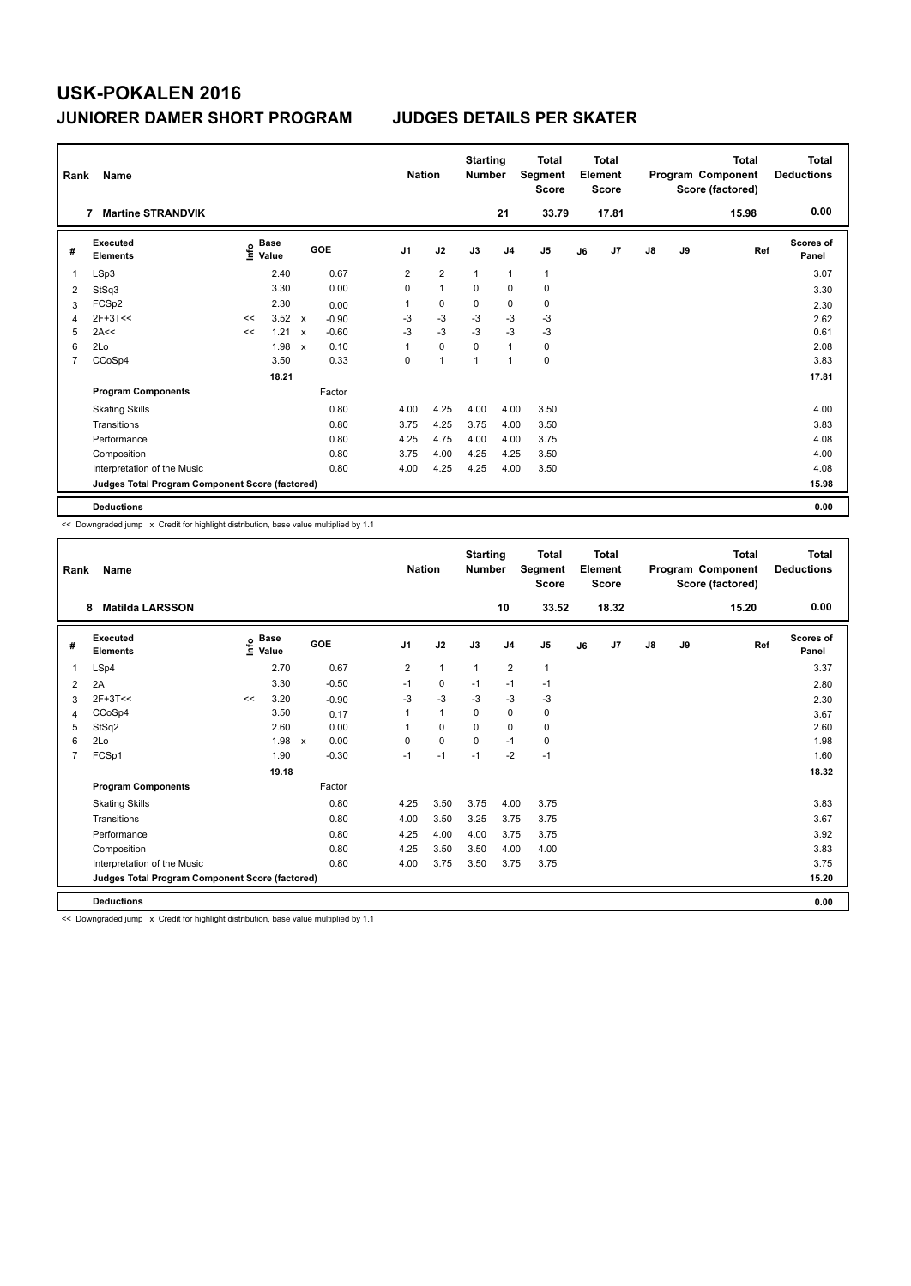| Rank           | Name                                            |    |                                  |                           |         | <b>Nation</b>  |                | <b>Starting</b><br><b>Number</b> |                | <b>Total</b><br>Segment<br><b>Score</b> |    | <b>Total</b><br>Element<br><b>Score</b> |               |    | Total<br>Program Component<br>Score (factored) | <b>Total</b><br><b>Deductions</b> |
|----------------|-------------------------------------------------|----|----------------------------------|---------------------------|---------|----------------|----------------|----------------------------------|----------------|-----------------------------------------|----|-----------------------------------------|---------------|----|------------------------------------------------|-----------------------------------|
|                | <b>Martine STRANDVIK</b><br>7                   |    |                                  |                           |         |                |                |                                  | 21             | 33.79                                   |    | 17.81                                   |               |    | 15.98                                          | 0.00                              |
| #              | Executed<br><b>Elements</b>                     |    | <b>Base</b><br>e Base<br>⊆ Value |                           | GOE     | J <sub>1</sub> | J2             | J3                               | J <sub>4</sub> | J <sub>5</sub>                          | J6 | J7                                      | $\mathsf{J}8$ | J9 | Ref                                            | Scores of<br>Panel                |
| 1              | LSp3                                            |    | 2.40                             |                           | 0.67    | 2              | $\overline{2}$ | $\mathbf{1}$                     | $\mathbf{1}$   | $\mathbf{1}$                            |    |                                         |               |    |                                                | 3.07                              |
| 2              | StSq3                                           |    | 3.30                             |                           | 0.00    | 0              | $\mathbf{1}$   | 0                                | $\mathbf 0$    | 0                                       |    |                                         |               |    |                                                | 3.30                              |
| 3              | FCSp2                                           |    | 2.30                             |                           | 0.00    | 1              | 0              | 0                                | 0              | 0                                       |    |                                         |               |    |                                                | 2.30                              |
| 4              | $2F+3T<<$                                       | << | $3.52 \times$                    |                           | $-0.90$ | $-3$           | $-3$           | $-3$                             | $-3$           | $-3$                                    |    |                                         |               |    |                                                | 2.62                              |
| 5              | 2A<<                                            | << | 1.21                             | $\mathbf{x}$              | $-0.60$ | -3             | $-3$           | $-3$                             | $-3$           | $-3$                                    |    |                                         |               |    |                                                | 0.61                              |
| 6              | 2Lo                                             |    | 1.98                             | $\boldsymbol{\mathsf{x}}$ | 0.10    | 1              | $\mathbf 0$    | $\Omega$                         | $\mathbf{1}$   | 0                                       |    |                                         |               |    |                                                | 2.08                              |
| $\overline{7}$ | CCoSp4                                          |    | 3.50                             |                           | 0.33    | 0              | $\overline{1}$ | 1                                | $\mathbf{1}$   | $\mathbf 0$                             |    |                                         |               |    |                                                | 3.83                              |
|                |                                                 |    | 18.21                            |                           |         |                |                |                                  |                |                                         |    |                                         |               |    |                                                | 17.81                             |
|                | <b>Program Components</b>                       |    |                                  |                           | Factor  |                |                |                                  |                |                                         |    |                                         |               |    |                                                |                                   |
|                | <b>Skating Skills</b>                           |    |                                  |                           | 0.80    | 4.00           | 4.25           | 4.00                             | 4.00           | 3.50                                    |    |                                         |               |    |                                                | 4.00                              |
|                | Transitions                                     |    |                                  |                           | 0.80    | 3.75           | 4.25           | 3.75                             | 4.00           | 3.50                                    |    |                                         |               |    |                                                | 3.83                              |
|                | Performance                                     |    |                                  |                           | 0.80    | 4.25           | 4.75           | 4.00                             | 4.00           | 3.75                                    |    |                                         |               |    |                                                | 4.08                              |
|                | Composition                                     |    |                                  |                           | 0.80    | 3.75           | 4.00           | 4.25                             | 4.25           | 3.50                                    |    |                                         |               |    |                                                | 4.00                              |
|                | Interpretation of the Music                     |    |                                  |                           | 0.80    | 4.00           | 4.25           | 4.25                             | 4.00           | 3.50                                    |    |                                         |               |    |                                                | 4.08                              |
|                | Judges Total Program Component Score (factored) |    |                                  |                           |         |                |                |                                  |                |                                         |    |                                         |               |    |                                                | 15.98                             |
|                | <b>Deductions</b>                               |    |                                  |                           |         |                |                |                                  |                |                                         |    |                                         |               |    |                                                | 0.00                              |

<< Downgraded jump x Credit for highlight distribution, base value multiplied by 1.1

| Rank | <b>Name</b>                                     |      |                      |              |         | <b>Nation</b>  |              | <b>Starting</b><br><b>Number</b> |                | <b>Total</b><br>Segment<br><b>Score</b> |    | Total<br>Element<br><b>Score</b> |    |    | <b>Total</b><br>Program Component<br>Score (factored) | <b>Total</b><br><b>Deductions</b> |
|------|-------------------------------------------------|------|----------------------|--------------|---------|----------------|--------------|----------------------------------|----------------|-----------------------------------------|----|----------------------------------|----|----|-------------------------------------------------------|-----------------------------------|
|      | <b>Matilda LARSSON</b><br>8                     |      |                      |              |         |                |              |                                  | 10             | 33.52                                   |    | 18.32                            |    |    | 15.20                                                 | 0.00                              |
| #    | Executed<br><b>Elements</b>                     | lnfo | <b>Base</b><br>Value | <b>GOE</b>   |         | J <sub>1</sub> | J2           | J3                               | J <sub>4</sub> | J <sub>5</sub>                          | J6 | J <sub>7</sub>                   | J8 | J9 | Ref                                                   | <b>Scores of</b><br>Panel         |
| 1    | LSp4                                            |      | 2.70                 |              | 0.67    | $\overline{2}$ | $\mathbf{1}$ | $\mathbf{1}$                     | $\overline{2}$ | $\mathbf{1}$                            |    |                                  |    |    |                                                       | 3.37                              |
| 2    | 2A                                              |      | 3.30                 |              | $-0.50$ | $-1$           | 0            | $-1$                             | $-1$           | $-1$                                    |    |                                  |    |    |                                                       | 2.80                              |
| 3    | $2F+3T<<$                                       | <<   | 3.20                 |              | $-0.90$ | $-3$           | $-3$         | $-3$                             | $-3$           | $-3$                                    |    |                                  |    |    |                                                       | 2.30                              |
| 4    | CCoSp4                                          |      | 3.50                 |              | 0.17    |                | $\mathbf{1}$ | 0                                | $\mathbf 0$    | 0                                       |    |                                  |    |    |                                                       | 3.67                              |
| 5    | StSq2                                           |      | 2.60                 |              | 0.00    |                | 0            | 0                                | $\mathbf 0$    | 0                                       |    |                                  |    |    |                                                       | 2.60                              |
| 6    | 2Lo                                             |      | 1.98                 | $\mathsf{x}$ | 0.00    | $\Omega$       | 0            | $\Omega$                         | $-1$           | 0                                       |    |                                  |    |    |                                                       | 1.98                              |
| 7    | FCSp1                                           |      | 1.90                 |              | $-0.30$ | $-1$           | $-1$         | $-1$                             | $-2$           | $-1$                                    |    |                                  |    |    |                                                       | 1.60                              |
|      |                                                 |      | 19.18                |              |         |                |              |                                  |                |                                         |    |                                  |    |    |                                                       | 18.32                             |
|      | <b>Program Components</b>                       |      |                      | Factor       |         |                |              |                                  |                |                                         |    |                                  |    |    |                                                       |                                   |
|      | <b>Skating Skills</b>                           |      |                      |              | 0.80    | 4.25           | 3.50         | 3.75                             | 4.00           | 3.75                                    |    |                                  |    |    |                                                       | 3.83                              |
|      | Transitions                                     |      |                      |              | 0.80    | 4.00           | 3.50         | 3.25                             | 3.75           | 3.75                                    |    |                                  |    |    |                                                       | 3.67                              |
|      | Performance                                     |      |                      |              | 0.80    | 4.25           | 4.00         | 4.00                             | 3.75           | 3.75                                    |    |                                  |    |    |                                                       | 3.92                              |
|      | Composition                                     |      |                      |              | 0.80    | 4.25           | 3.50         | 3.50                             | 4.00           | 4.00                                    |    |                                  |    |    |                                                       | 3.83                              |
|      | Interpretation of the Music                     |      |                      |              | 0.80    | 4.00           | 3.75         | 3.50                             | 3.75           | 3.75                                    |    |                                  |    |    |                                                       | 3.75                              |
|      | Judges Total Program Component Score (factored) |      |                      |              |         |                |              |                                  |                |                                         |    |                                  |    |    |                                                       | 15.20                             |
|      | <b>Deductions</b>                               |      |                      |              |         |                |              |                                  |                |                                         |    |                                  |    |    |                                                       | 0.00                              |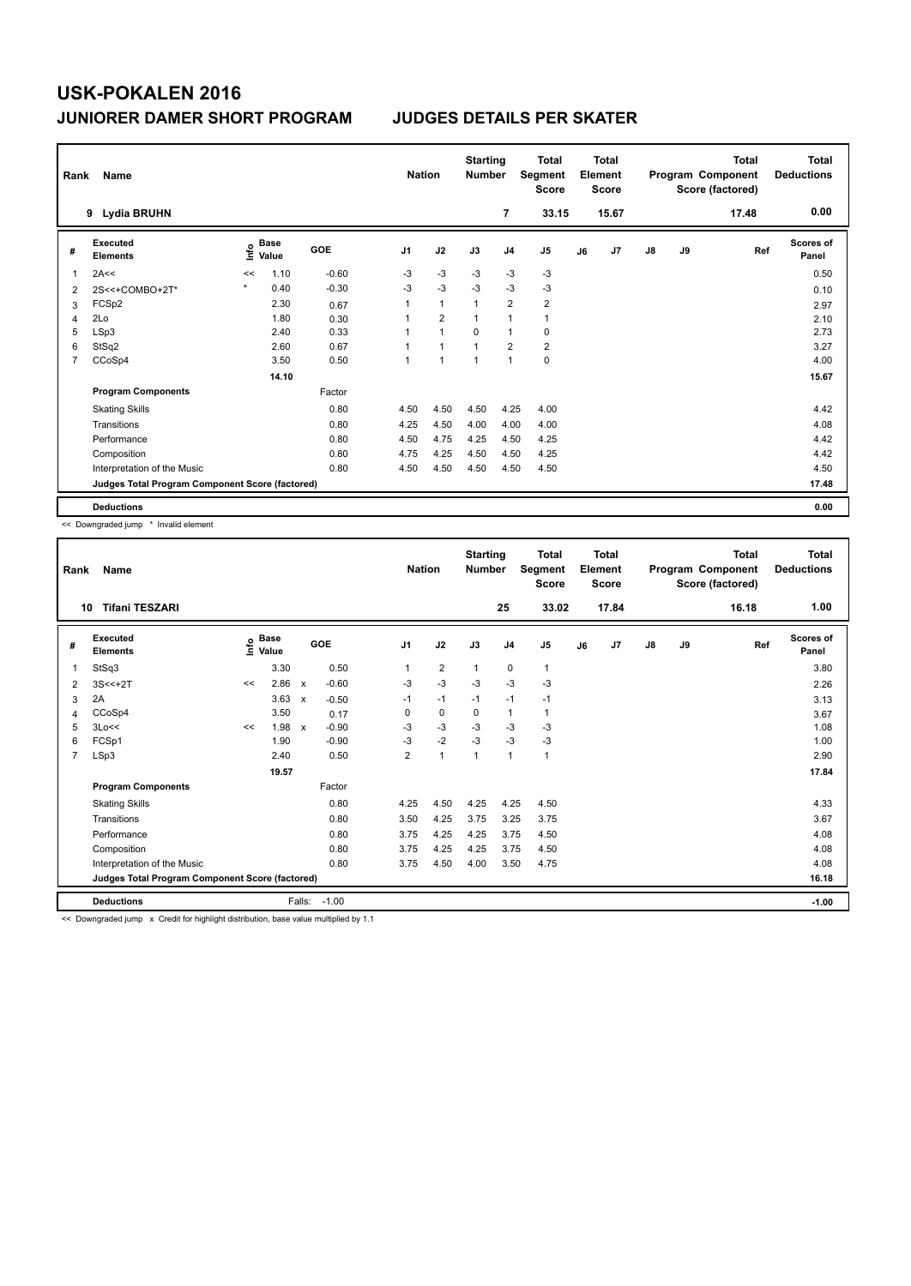| Rank           | <b>Name</b>                                     |      |               |         | <b>Nation</b>  |                | <b>Starting</b><br><b>Number</b> |                | <b>Total</b><br>Segment<br><b>Score</b> |    | <b>Total</b><br>Element<br><b>Score</b> |               |    | <b>Total</b><br>Program Component<br>Score (factored) | <b>Total</b><br><b>Deductions</b> |
|----------------|-------------------------------------------------|------|---------------|---------|----------------|----------------|----------------------------------|----------------|-----------------------------------------|----|-----------------------------------------|---------------|----|-------------------------------------------------------|-----------------------------------|
|                | <b>Lydia BRUHN</b><br>9                         |      |               |         |                |                |                                  | 7              | 33.15                                   |    | 15.67                                   |               |    | 17.48                                                 | 0.00                              |
| #              | Executed<br><b>Elements</b>                     | Info | Base<br>Value | GOE     | J <sub>1</sub> | J2             | J3                               | J <sub>4</sub> | J <sub>5</sub>                          | J6 | J7                                      | $\mathsf{J}8$ | J9 | Ref                                                   | <b>Scores of</b><br>Panel         |
| $\overline{1}$ | 2A<<                                            | <<   | 1.10          | $-0.60$ | -3             | $-3$           | -3                               | -3             | $-3$                                    |    |                                         |               |    |                                                       | 0.50                              |
| 2              | 2S<<+COMBO+2T*                                  |      | 0.40          | $-0.30$ | $-3$           | $-3$           | $-3$                             | $-3$           | $-3$                                    |    |                                         |               |    |                                                       | 0.10                              |
| 3              | FCSp2                                           |      | 2.30          | 0.67    | $\mathbf{1}$   | $\mathbf{1}$   | $\overline{1}$                   | $\overline{2}$ | $\overline{\mathbf{c}}$                 |    |                                         |               |    |                                                       | 2.97                              |
| $\overline{4}$ | 2Lo                                             |      | 1.80          | 0.30    |                | $\overline{2}$ |                                  | $\mathbf{1}$   | $\mathbf{1}$                            |    |                                         |               |    |                                                       | 2.10                              |
| 5              | LSp3                                            |      | 2.40          | 0.33    |                | $\mathbf{1}$   | $\Omega$                         | $\mathbf{1}$   | 0                                       |    |                                         |               |    |                                                       | 2.73                              |
| 6              | StSq2                                           |      | 2.60          | 0.67    |                | $\overline{1}$ |                                  | $\overline{2}$ | $\overline{2}$                          |    |                                         |               |    |                                                       | 3.27                              |
| $\overline{7}$ | CCoSp4                                          |      | 3.50          | 0.50    | $\mathbf{1}$   | $\overline{1}$ | 1                                | $\mathbf{1}$   | $\pmb{0}$                               |    |                                         |               |    |                                                       | 4.00                              |
|                |                                                 |      | 14.10         |         |                |                |                                  |                |                                         |    |                                         |               |    |                                                       | 15.67                             |
|                | <b>Program Components</b>                       |      |               | Factor  |                |                |                                  |                |                                         |    |                                         |               |    |                                                       |                                   |
|                | <b>Skating Skills</b>                           |      |               | 0.80    | 4.50           | 4.50           | 4.50                             | 4.25           | 4.00                                    |    |                                         |               |    |                                                       | 4.42                              |
|                | Transitions                                     |      |               | 0.80    | 4.25           | 4.50           | 4.00                             | 4.00           | 4.00                                    |    |                                         |               |    |                                                       | 4.08                              |
|                | Performance                                     |      |               | 0.80    | 4.50           | 4.75           | 4.25                             | 4.50           | 4.25                                    |    |                                         |               |    |                                                       | 4.42                              |
|                | Composition                                     |      |               | 0.80    | 4.75           | 4.25           | 4.50                             | 4.50           | 4.25                                    |    |                                         |               |    |                                                       | 4.42                              |
|                | Interpretation of the Music                     |      |               | 0.80    | 4.50           | 4.50           | 4.50                             | 4.50           | 4.50                                    |    |                                         |               |    |                                                       | 4.50                              |
|                | Judges Total Program Component Score (factored) |      |               |         |                |                |                                  |                |                                         |    |                                         |               |    |                                                       | 17.48                             |
|                | <b>Deductions</b>                               |      |               |         |                |                |                                  |                |                                         |    |                                         |               |    |                                                       | 0.00                              |

<< Downgraded jump \* Invalid element

| Rank           | Name                                            |    |                                  |                           |         |                | <b>Nation</b>  | <b>Starting</b><br><b>Number</b> |                | <b>Total</b><br>Segment<br><b>Score</b> |    | <b>Total</b><br>Element<br><b>Score</b> |    |    | <b>Total</b><br>Program Component<br>Score (factored) | <b>Total</b><br><b>Deductions</b> |
|----------------|-------------------------------------------------|----|----------------------------------|---------------------------|---------|----------------|----------------|----------------------------------|----------------|-----------------------------------------|----|-----------------------------------------|----|----|-------------------------------------------------------|-----------------------------------|
| 10             | <b>Tifani TESZARI</b>                           |    |                                  |                           |         |                |                |                                  | 25             | 33.02                                   |    | 17.84                                   |    |    | 16.18                                                 | 1.00                              |
| #              | <b>Executed</b><br><b>Elements</b>              |    | <b>Base</b><br>e Base<br>⊆ Value |                           | GOE     | J <sub>1</sub> | J2             | J3                               | J <sub>4</sub> | J <sub>5</sub>                          | J6 | J <sub>7</sub>                          | J8 | J9 | Ref                                                   | <b>Scores of</b><br>Panel         |
| 1              | StSq3                                           |    | 3.30                             |                           | 0.50    |                | $\overline{2}$ | $\mathbf{1}$                     | 0              | 1                                       |    |                                         |    |    |                                                       | 3.80                              |
| 2              | $3S < +2T$                                      | << | 2.86                             | $\boldsymbol{\mathsf{x}}$ | $-0.60$ | $-3$           | $-3$           | $-3$                             | $-3$           | $-3$                                    |    |                                         |    |    |                                                       | 2.26                              |
| 3              | 2A                                              |    | 3.63                             | $\mathsf{x}$              | $-0.50$ | $-1$           | $-1$           | $-1$                             | $-1$           | $-1$                                    |    |                                         |    |    |                                                       | 3.13                              |
| 4              | CCoSp4                                          |    | 3.50                             |                           | 0.17    | 0              | 0              | 0                                | $\mathbf{1}$   | 1                                       |    |                                         |    |    |                                                       | 3.67                              |
| 5              | 3Lo<<                                           | << | 1.98                             | $\mathsf{x}$              | $-0.90$ | $-3$           | $-3$           | $-3$                             | $-3$           | $-3$                                    |    |                                         |    |    |                                                       | 1.08                              |
| 6              | FCSp1                                           |    | 1.90                             |                           | $-0.90$ | $-3$           | $-2$           | $-3$                             | $-3$           | $-3$                                    |    |                                         |    |    |                                                       | 1.00                              |
| $\overline{7}$ | LSp3                                            |    | 2.40                             |                           | 0.50    | $\overline{2}$ | $\mathbf{1}$   | 1                                | $\mathbf{1}$   | 1                                       |    |                                         |    |    |                                                       | 2.90                              |
|                |                                                 |    | 19.57                            |                           |         |                |                |                                  |                |                                         |    |                                         |    |    |                                                       | 17.84                             |
|                | <b>Program Components</b>                       |    |                                  |                           | Factor  |                |                |                                  |                |                                         |    |                                         |    |    |                                                       |                                   |
|                | <b>Skating Skills</b>                           |    |                                  |                           | 0.80    | 4.25           | 4.50           | 4.25                             | 4.25           | 4.50                                    |    |                                         |    |    |                                                       | 4.33                              |
|                | Transitions                                     |    |                                  |                           | 0.80    | 3.50           | 4.25           | 3.75                             | 3.25           | 3.75                                    |    |                                         |    |    |                                                       | 3.67                              |
|                | Performance                                     |    |                                  |                           | 0.80    | 3.75           | 4.25           | 4.25                             | 3.75           | 4.50                                    |    |                                         |    |    |                                                       | 4.08                              |
|                | Composition                                     |    |                                  |                           | 0.80    | 3.75           | 4.25           | 4.25                             | 3.75           | 4.50                                    |    |                                         |    |    |                                                       | 4.08                              |
|                | Interpretation of the Music                     |    |                                  |                           | 0.80    | 3.75           | 4.50           | 4.00                             | 3.50           | 4.75                                    |    |                                         |    |    |                                                       | 4.08                              |
|                | Judges Total Program Component Score (factored) |    |                                  |                           |         |                |                |                                  |                |                                         |    |                                         |    |    |                                                       | 16.18                             |
|                | <b>Deductions</b>                               |    |                                  | Falls:                    | $-1.00$ |                |                |                                  |                |                                         |    |                                         |    |    |                                                       | $-1.00$                           |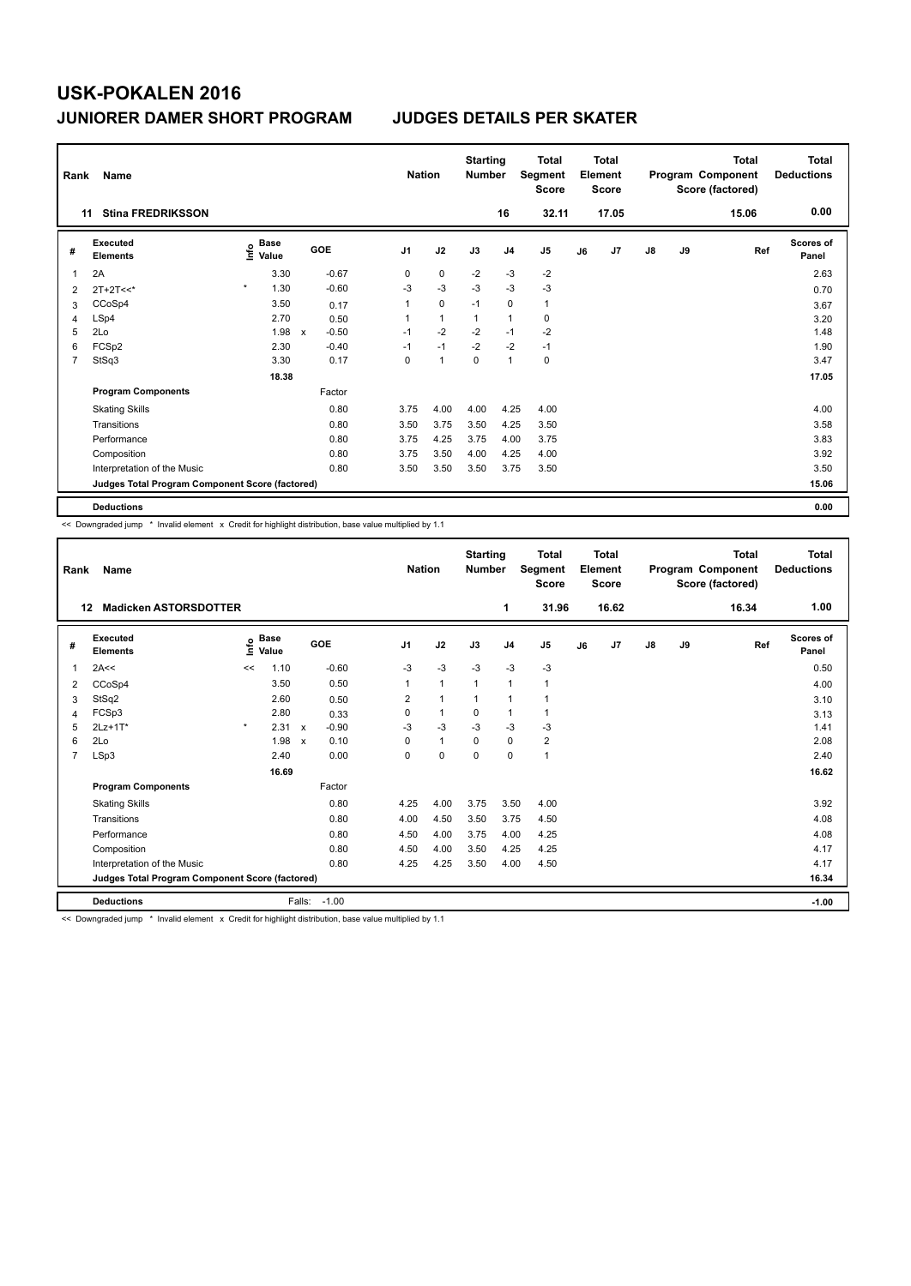| Rank           | Name                                            |                           |                         | <b>Nation</b>  |                | <b>Starting</b><br><b>Number</b> |                | <b>Total</b><br>Segment<br><b>Score</b> |    | <b>Total</b><br>Element<br><b>Score</b> |               |    | <b>Total</b><br>Program Component<br>Score (factored) | <b>Total</b><br><b>Deductions</b> |
|----------------|-------------------------------------------------|---------------------------|-------------------------|----------------|----------------|----------------------------------|----------------|-----------------------------------------|----|-----------------------------------------|---------------|----|-------------------------------------------------------|-----------------------------------|
|                | <b>Stina FREDRIKSSON</b><br>11                  |                           |                         |                |                |                                  | 16             | 32.11                                   |    | 17.05                                   |               |    | 15.06                                                 | 0.00                              |
| #              | <b>Executed</b><br><b>Elements</b>              | Base<br>e Base<br>⊆ Value | GOE                     | J <sub>1</sub> | J2             | J3                               | J <sub>4</sub> | J <sub>5</sub>                          | J6 | J7                                      | $\mathsf{J}8$ | J9 | Ref                                                   | <b>Scores of</b><br>Panel         |
| 1              | 2A                                              | 3.30                      | $-0.67$                 | 0              | 0              | $-2$                             | $-3$           | $-2$                                    |    |                                         |               |    |                                                       | 2.63                              |
| 2              | $2T+2T<<$                                       | $\star$<br>1.30           | $-0.60$                 | $-3$           | $-3$           | $-3$                             | $-3$           | $-3$                                    |    |                                         |               |    |                                                       | 0.70                              |
| 3              | CCoSp4                                          | 3.50                      | 0.17                    | 1              | $\mathbf 0$    | $-1$                             | 0              | $\mathbf{1}$                            |    |                                         |               |    |                                                       | 3.67                              |
| 4              | LSp4                                            | 2.70                      | 0.50                    | 1              | $\mathbf{1}$   | $\overline{1}$                   | $\overline{1}$ | 0                                       |    |                                         |               |    |                                                       | 3.20                              |
| 5              | 2Lo                                             | 1.98                      | $-0.50$<br>$\mathsf{x}$ | $-1$           | $-2$           | $-2$                             | $-1$           | $-2$                                    |    |                                         |               |    |                                                       | 1.48                              |
| 6              | FCSp2                                           | 2.30                      | $-0.40$                 | $-1$           | $-1$           | $-2$                             | $-2$           | $-1$                                    |    |                                         |               |    |                                                       | 1.90                              |
| $\overline{7}$ | StSq3                                           | 3.30                      | 0.17                    | $\mathbf 0$    | $\overline{1}$ | $\mathbf 0$                      | $\mathbf{1}$   | $\pmb{0}$                               |    |                                         |               |    |                                                       | 3.47                              |
|                |                                                 | 18.38                     |                         |                |                |                                  |                |                                         |    |                                         |               |    |                                                       | 17.05                             |
|                | <b>Program Components</b>                       |                           | Factor                  |                |                |                                  |                |                                         |    |                                         |               |    |                                                       |                                   |
|                | <b>Skating Skills</b>                           |                           | 0.80                    | 3.75           | 4.00           | 4.00                             | 4.25           | 4.00                                    |    |                                         |               |    |                                                       | 4.00                              |
|                | Transitions                                     |                           | 0.80                    | 3.50           | 3.75           | 3.50                             | 4.25           | 3.50                                    |    |                                         |               |    |                                                       | 3.58                              |
|                | Performance                                     |                           | 0.80                    | 3.75           | 4.25           | 3.75                             | 4.00           | 3.75                                    |    |                                         |               |    |                                                       | 3.83                              |
|                | Composition                                     |                           | 0.80                    | 3.75           | 3.50           | 4.00                             | 4.25           | 4.00                                    |    |                                         |               |    |                                                       | 3.92                              |
|                | Interpretation of the Music                     |                           | 0.80                    | 3.50           | 3.50           | 3.50                             | 3.75           | 3.50                                    |    |                                         |               |    |                                                       | 3.50                              |
|                | Judges Total Program Component Score (factored) |                           |                         |                |                |                                  |                |                                         |    |                                         |               |    |                                                       | 15.06                             |
|                | <b>Deductions</b>                               |                           |                         |                |                |                                  |                |                                         |    |                                         |               |    |                                                       | 0.00                              |

<< Downgraded jump \* Invalid element x Credit for highlight distribution, base value multiplied by 1.1

| Rank           | Name                                            |         |                      |                           |         |                | <b>Nation</b> | <b>Starting</b><br><b>Number</b> |                | <b>Total</b><br>Segment<br><b>Score</b> |    | <b>Total</b><br>Element<br><b>Score</b> |               |    | <b>Total</b><br>Program Component<br>Score (factored) | <b>Total</b><br><b>Deductions</b> |
|----------------|-------------------------------------------------|---------|----------------------|---------------------------|---------|----------------|---------------|----------------------------------|----------------|-----------------------------------------|----|-----------------------------------------|---------------|----|-------------------------------------------------------|-----------------------------------|
| 12             | <b>Madicken ASTORSDOTTER</b>                    |         |                      |                           |         |                |               |                                  | 1              | 31.96                                   |    | 16.62                                   |               |    | 16.34                                                 | 1.00                              |
| #              | Executed<br><b>Elements</b>                     | lnfo    | <b>Base</b><br>Value |                           | GOE     | J <sub>1</sub> | J2            | J3                               | J <sub>4</sub> | J <sub>5</sub>                          | J6 | J7                                      | $\mathsf{J}8$ | J9 | Ref                                                   | <b>Scores of</b><br>Panel         |
| 1              | 2A<<                                            | <<      | 1.10                 |                           | $-0.60$ | $-3$           | $-3$          | $-3$                             | $-3$           | $-3$                                    |    |                                         |               |    |                                                       | 0.50                              |
| 2              | CCoSp4                                          |         | 3.50                 |                           | 0.50    | $\mathbf{1}$   | $\mathbf{1}$  | $\mathbf{1}$                     | $\mathbf{1}$   | 1                                       |    |                                         |               |    |                                                       | 4.00                              |
| 3              | StSq2                                           |         | 2.60                 |                           | 0.50    | 2              | $\mathbf{1}$  | $\mathbf{1}$                     | $\mathbf{1}$   |                                         |    |                                         |               |    |                                                       | 3.10                              |
| 4              | FCSp3                                           |         | 2.80                 |                           | 0.33    | 0              | $\mathbf{1}$  | 0                                | $\mathbf{1}$   | 1                                       |    |                                         |               |    |                                                       | 3.13                              |
| 5              | $2Lz+1T*$                                       | $\star$ | 2.31                 | $\mathsf{x}$              | $-0.90$ | $-3$           | $-3$          | $-3$                             | $-3$           | $-3$                                    |    |                                         |               |    |                                                       | 1.41                              |
| 6              | 2Lo                                             |         | 1.98                 | $\boldsymbol{\mathsf{x}}$ | 0.10    | 0              | $\mathbf{1}$  | $\Omega$                         | $\mathbf 0$    | $\overline{2}$                          |    |                                         |               |    |                                                       | 2.08                              |
| $\overline{7}$ | LSp3                                            |         | 2.40                 |                           | 0.00    | 0              | $\mathbf 0$   | $\Omega$                         | $\mathbf 0$    | 1                                       |    |                                         |               |    |                                                       | 2.40                              |
|                |                                                 |         | 16.69                |                           |         |                |               |                                  |                |                                         |    |                                         |               |    |                                                       | 16.62                             |
|                | <b>Program Components</b>                       |         |                      |                           | Factor  |                |               |                                  |                |                                         |    |                                         |               |    |                                                       |                                   |
|                | <b>Skating Skills</b>                           |         |                      |                           | 0.80    | 4.25           | 4.00          | 3.75                             | 3.50           | 4.00                                    |    |                                         |               |    |                                                       | 3.92                              |
|                | Transitions                                     |         |                      |                           | 0.80    | 4.00           | 4.50          | 3.50                             | 3.75           | 4.50                                    |    |                                         |               |    |                                                       | 4.08                              |
|                | Performance                                     |         |                      |                           | 0.80    | 4.50           | 4.00          | 3.75                             | 4.00           | 4.25                                    |    |                                         |               |    |                                                       | 4.08                              |
|                | Composition                                     |         |                      |                           | 0.80    | 4.50           | 4.00          | 3.50                             | 4.25           | 4.25                                    |    |                                         |               |    |                                                       | 4.17                              |
|                | Interpretation of the Music                     |         |                      |                           | 0.80    | 4.25           | 4.25          | 3.50                             | 4.00           | 4.50                                    |    |                                         |               |    |                                                       | 4.17                              |
|                | Judges Total Program Component Score (factored) |         |                      |                           |         |                |               |                                  |                |                                         |    |                                         |               |    |                                                       | 16.34                             |
|                | <b>Deductions</b>                               |         |                      | Falls:                    | $-1.00$ |                |               |                                  |                |                                         |    |                                         |               |    |                                                       | $-1.00$                           |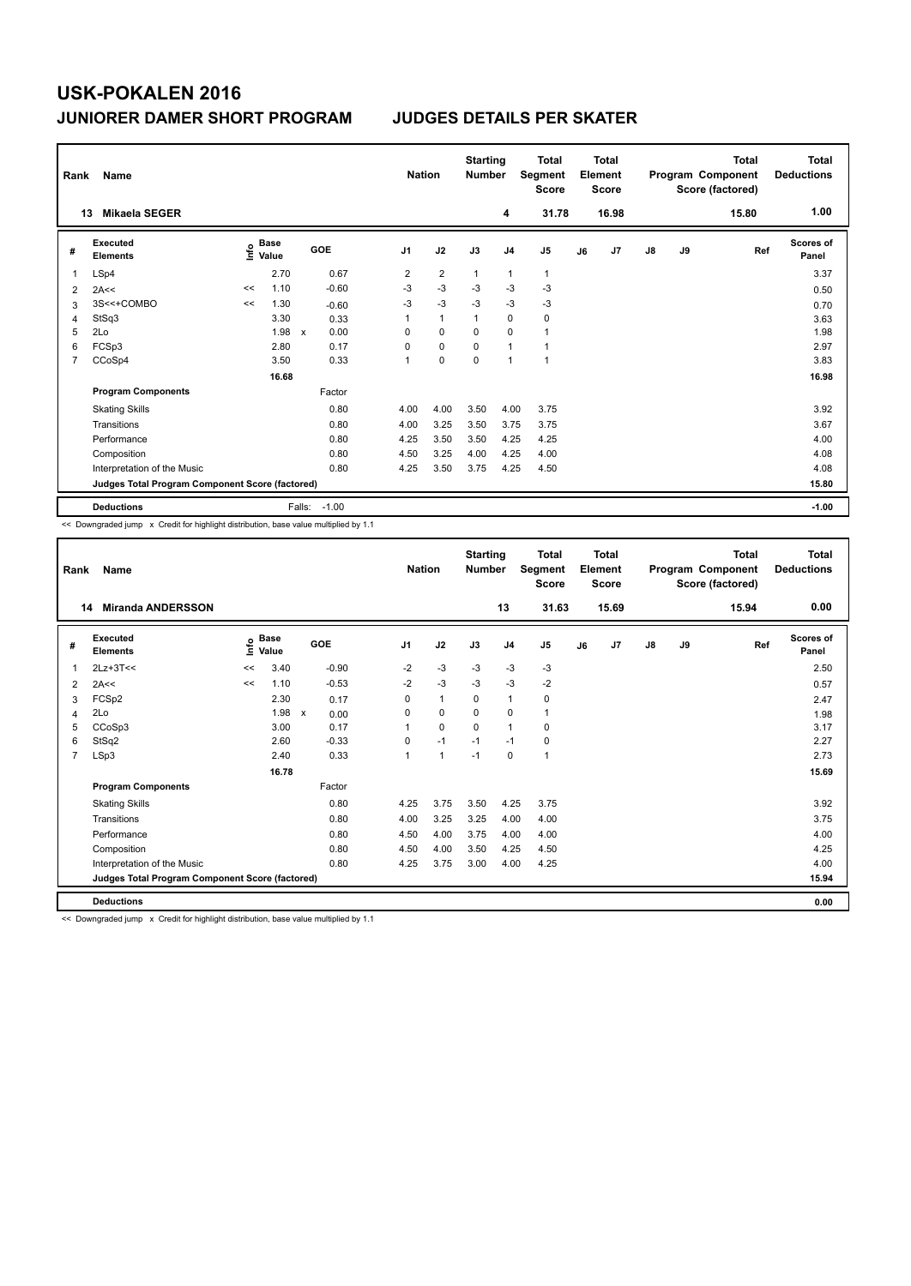| Rank           | Name                                            |    |                                  |              |         | <b>Nation</b>  |                | <b>Starting</b><br><b>Number</b> |                | <b>Total</b><br>Segment<br><b>Score</b> |    | Total<br>Element<br>Score |               |    | Total<br>Program Component<br>Score (factored) | <b>Total</b><br><b>Deductions</b> |
|----------------|-------------------------------------------------|----|----------------------------------|--------------|---------|----------------|----------------|----------------------------------|----------------|-----------------------------------------|----|---------------------------|---------------|----|------------------------------------------------|-----------------------------------|
|                | <b>Mikaela SEGER</b><br>13                      |    |                                  |              |         |                |                |                                  | 4              | 31.78                                   |    | 16.98                     |               |    | 15.80                                          | 1.00                              |
| #              | Executed<br><b>Elements</b>                     |    | <b>Base</b><br>e Base<br>⊆ Value | GOE          |         | J <sub>1</sub> | J2             | J3                               | J <sub>4</sub> | J5                                      | J6 | J7                        | $\mathsf{J}8$ | J9 | Ref                                            | Scores of<br>Panel                |
| 1              | LSp4                                            |    | 2.70                             |              | 0.67    | $\overline{2}$ | $\overline{2}$ | $\overline{1}$                   | $\mathbf{1}$   | $\mathbf{1}$                            |    |                           |               |    |                                                | 3.37                              |
| $\overline{2}$ | 2A<<                                            | << | 1.10                             |              | $-0.60$ | $-3$           | $-3$           | $-3$                             | $-3$           | $-3$                                    |    |                           |               |    |                                                | 0.50                              |
| 3              | 3S<<+COMBO                                      | << | 1.30                             |              | $-0.60$ | $-3$           | $-3$           | $-3$                             | $-3$           | $-3$                                    |    |                           |               |    |                                                | 0.70                              |
| $\overline{4}$ | StSq3                                           |    | 3.30                             |              | 0.33    | 1              | $\mathbf{1}$   | $\overline{1}$                   | $\mathbf 0$    | $\pmb{0}$                               |    |                           |               |    |                                                | 3.63                              |
| 5              | 2Lo                                             |    | 1.98                             | $\mathsf{x}$ | 0.00    | 0              | 0              | 0                                | 0              | $\mathbf{1}$                            |    |                           |               |    |                                                | 1.98                              |
| 6              | FCSp3                                           |    | 2.80                             |              | 0.17    | 0              | $\mathbf 0$    | $\Omega$                         | $\overline{1}$ |                                         |    |                           |               |    |                                                | 2.97                              |
| 7              | CCoSp4                                          |    | 3.50                             |              | 0.33    | $\mathbf 1$    | $\mathbf 0$    | $\mathbf 0$                      | 1              | $\overline{1}$                          |    |                           |               |    |                                                | 3.83                              |
|                |                                                 |    | 16.68                            |              |         |                |                |                                  |                |                                         |    |                           |               |    |                                                | 16.98                             |
|                | <b>Program Components</b>                       |    |                                  |              | Factor  |                |                |                                  |                |                                         |    |                           |               |    |                                                |                                   |
|                | <b>Skating Skills</b>                           |    |                                  |              | 0.80    | 4.00           | 4.00           | 3.50                             | 4.00           | 3.75                                    |    |                           |               |    |                                                | 3.92                              |
|                | Transitions                                     |    |                                  |              | 0.80    | 4.00           | 3.25           | 3.50                             | 3.75           | 3.75                                    |    |                           |               |    |                                                | 3.67                              |
|                | Performance                                     |    |                                  |              | 0.80    | 4.25           | 3.50           | 3.50                             | 4.25           | 4.25                                    |    |                           |               |    |                                                | 4.00                              |
|                | Composition                                     |    |                                  |              | 0.80    | 4.50           | 3.25           | 4.00                             | 4.25           | 4.00                                    |    |                           |               |    |                                                | 4.08                              |
|                | Interpretation of the Music                     |    |                                  |              | 0.80    | 4.25           | 3.50           | 3.75                             | 4.25           | 4.50                                    |    |                           |               |    |                                                | 4.08                              |
|                | Judges Total Program Component Score (factored) |    |                                  |              |         |                |                |                                  |                |                                         |    |                           |               |    |                                                | 15.80                             |
|                | <b>Deductions</b>                               |    |                                  | Falls:       | $-1.00$ |                |                |                                  |                |                                         |    |                           |               |    |                                                | $-1.00$                           |

<< Downgraded jump x Credit for highlight distribution, base value multiplied by 1.1

| Rank           | Name                                            | <b>Nation</b> |                      | <b>Starting</b><br><b>Number</b> |                | <b>Total</b><br>Segment<br><b>Score</b> |          | <b>Total</b><br>Element<br><b>Score</b> |                |    | <b>Total</b><br>Program Component<br>Score (factored) | <b>Total</b><br><b>Deductions</b> |    |       |                           |
|----------------|-------------------------------------------------|---------------|----------------------|----------------------------------|----------------|-----------------------------------------|----------|-----------------------------------------|----------------|----|-------------------------------------------------------|-----------------------------------|----|-------|---------------------------|
|                | <b>Miranda ANDERSSON</b><br>14                  |               |                      |                                  |                |                                         |          | 13                                      | 31.63          |    | 15.69                                                 |                                   |    | 15.94 | 0.00                      |
| #              | Executed<br><b>Elements</b>                     | ١nfo          | <b>Base</b><br>Value | GOE                              | J <sub>1</sub> | J2                                      | J3       | J <sub>4</sub>                          | J <sub>5</sub> | J6 | J <sub>7</sub>                                        | $\mathsf{J}8$                     | J9 | Ref   | <b>Scores of</b><br>Panel |
| 1              | $2Lz+3T<<$                                      | <<            | 3.40                 | $-0.90$                          | $-2$           | $-3$                                    | $-3$     | $-3$                                    | $-3$           |    |                                                       |                                   |    |       | 2.50                      |
| 2              | 2A<<                                            | <<            | 1.10                 | $-0.53$                          | $-2$           | $-3$                                    | $-3$     | $-3$                                    | $-2$           |    |                                                       |                                   |    |       | 0.57                      |
| 3              | FCSp2                                           |               | 2.30                 | 0.17                             | 0              | $\mathbf{1}$                            | 0        | 1                                       | 0              |    |                                                       |                                   |    |       | 2.47                      |
| 4              | 2Lo                                             |               | 1.98                 | $\mathsf{x}$<br>0.00             | 0              | $\mathbf 0$                             | 0        | 0                                       | 1              |    |                                                       |                                   |    |       | 1.98                      |
| 5              | CCoSp3                                          |               | 3.00                 | 0.17                             | $\overline{1}$ | 0                                       | $\Omega$ | $\mathbf{1}$                            | 0              |    |                                                       |                                   |    |       | 3.17                      |
| 6              | StSq2                                           |               | 2.60                 | $-0.33$                          | 0              | $-1$                                    | $-1$     | $-1$                                    | 0              |    |                                                       |                                   |    |       | 2.27                      |
| $\overline{7}$ | LSp3                                            |               | 2.40                 | 0.33                             | 1              | $\mathbf{1}$                            | $-1$     | 0                                       | 1              |    |                                                       |                                   |    |       | 2.73                      |
|                |                                                 |               | 16.78                |                                  |                |                                         |          |                                         |                |    |                                                       |                                   |    |       | 15.69                     |
|                | <b>Program Components</b>                       |               |                      | Factor                           |                |                                         |          |                                         |                |    |                                                       |                                   |    |       |                           |
|                | <b>Skating Skills</b>                           |               |                      | 0.80                             | 4.25           | 3.75                                    | 3.50     | 4.25                                    | 3.75           |    |                                                       |                                   |    |       | 3.92                      |
|                | Transitions                                     |               |                      | 0.80                             | 4.00           | 3.25                                    | 3.25     | 4.00                                    | 4.00           |    |                                                       |                                   |    |       | 3.75                      |
|                | Performance                                     |               |                      | 0.80                             | 4.50           | 4.00                                    | 3.75     | 4.00                                    | 4.00           |    |                                                       |                                   |    |       | 4.00                      |
|                | Composition                                     |               |                      | 0.80                             | 4.50           | 4.00                                    | 3.50     | 4.25                                    | 4.50           |    |                                                       |                                   |    |       | 4.25                      |
|                | Interpretation of the Music                     |               |                      | 0.80                             | 4.25           | 3.75                                    | 3.00     | 4.00                                    | 4.25           |    |                                                       |                                   |    |       | 4.00                      |
|                | Judges Total Program Component Score (factored) |               |                      |                                  |                |                                         |          |                                         |                |    |                                                       |                                   |    |       | 15.94                     |
|                | <b>Deductions</b>                               |               |                      |                                  |                |                                         |          |                                         |                |    |                                                       |                                   |    |       | 0.00                      |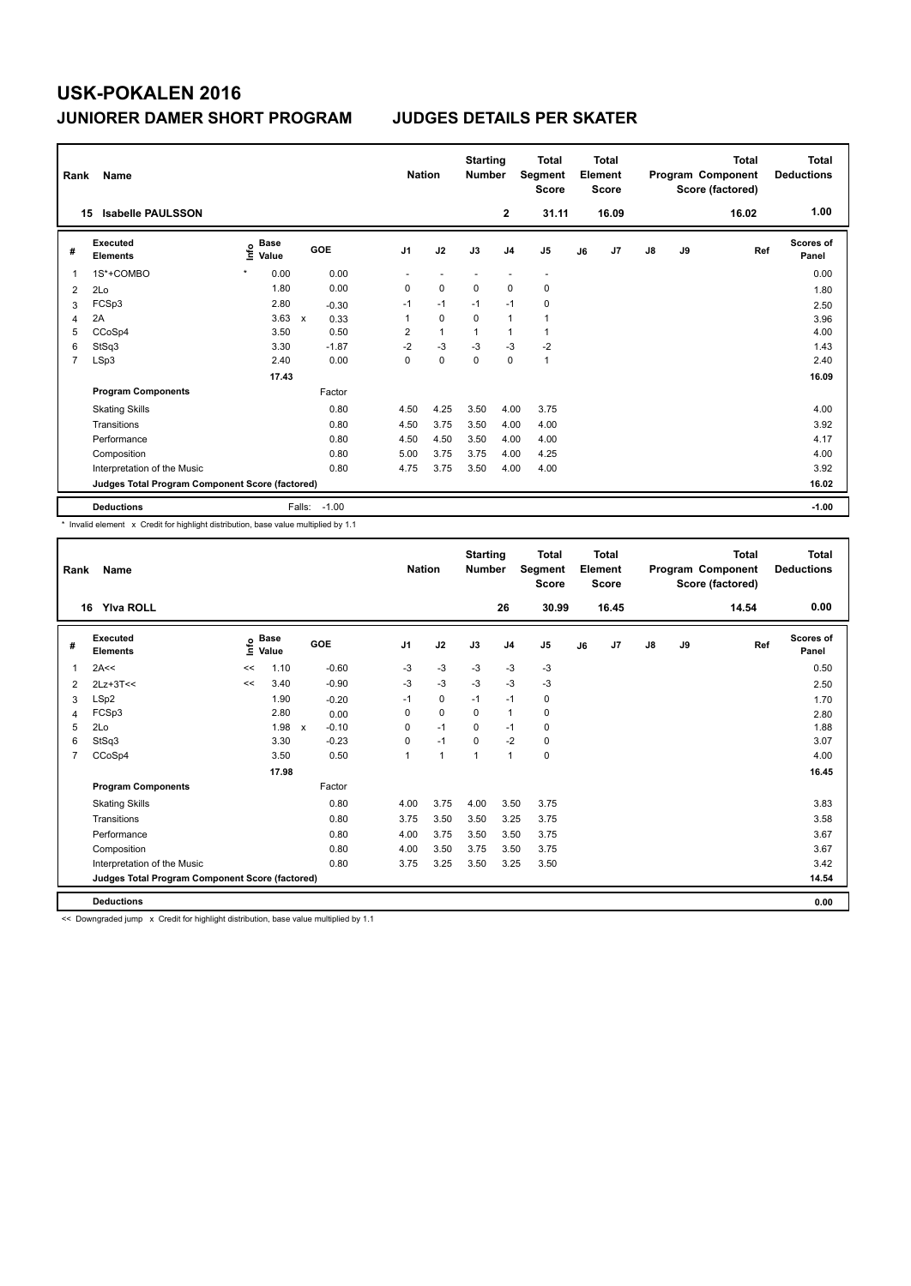| Rank           | Name                                            |                            |                      | <b>Nation</b>  |              | <b>Starting</b><br><b>Number</b> |                | <b>Total</b><br>Segment<br><b>Score</b> |    | Total<br>Element<br><b>Score</b> |               |    | Total<br>Program Component<br>Score (factored) | Total<br><b>Deductions</b> |
|----------------|-------------------------------------------------|----------------------------|----------------------|----------------|--------------|----------------------------------|----------------|-----------------------------------------|----|----------------------------------|---------------|----|------------------------------------------------|----------------------------|
|                | <b>Isabelle PAULSSON</b><br>15                  |                            |                      |                |              |                                  | $\mathbf{2}$   | 31.11                                   |    | 16.09                            |               |    | 16.02                                          | 1.00                       |
| #              | Executed<br><b>Elements</b>                     | <b>Base</b><br>۴ů<br>Value | GOE                  | J <sub>1</sub> | J2           | J3                               | J <sub>4</sub> | J <sub>5</sub>                          | J6 | J7                               | $\mathsf{J}8$ | J9 | Ref                                            | Scores of<br>Panel         |
| 1              | 1S*+COMBO                                       | $\star$<br>0.00            | 0.00                 |                |              |                                  |                | $\overline{\phantom{a}}$                |    |                                  |               |    |                                                | 0.00                       |
| $\overline{2}$ | 2Lo                                             | 1.80                       | 0.00                 | 0              | $\mathbf 0$  | $\mathbf 0$                      | $\mathbf 0$    | $\mathbf 0$                             |    |                                  |               |    |                                                | 1.80                       |
| 3              | FCSp3                                           | 2.80                       | $-0.30$              | $-1$           | $-1$         | $-1$                             | $-1$           | $\mathbf 0$                             |    |                                  |               |    |                                                | 2.50                       |
| 4              | 2A                                              | 3.63                       | $\mathsf{x}$<br>0.33 | 1              | $\mathbf 0$  | 0                                | $\mathbf{1}$   | $\mathbf{1}$                            |    |                                  |               |    |                                                | 3.96                       |
| 5              | CCoSp4                                          | 3.50                       | 0.50                 | 2              | $\mathbf{1}$ | $\mathbf 1$                      | $\mathbf{1}$   | $\mathbf{1}$                            |    |                                  |               |    |                                                | 4.00                       |
| 6              | StSq3                                           | 3.30                       | $-1.87$              | $-2$           | $-3$         | $-3$                             | $-3$           | $-2$                                    |    |                                  |               |    |                                                | 1.43                       |
| $\overline{7}$ | LSp3                                            | 2.40                       | 0.00                 | 0              | $\mathbf 0$  | 0                                | $\Omega$       | $\mathbf{1}$                            |    |                                  |               |    |                                                | 2.40                       |
|                |                                                 | 17.43                      |                      |                |              |                                  |                |                                         |    |                                  |               |    |                                                | 16.09                      |
|                | <b>Program Components</b>                       |                            | Factor               |                |              |                                  |                |                                         |    |                                  |               |    |                                                |                            |
|                | <b>Skating Skills</b>                           |                            | 0.80                 | 4.50           | 4.25         | 3.50                             | 4.00           | 3.75                                    |    |                                  |               |    |                                                | 4.00                       |
|                | Transitions                                     |                            | 0.80                 | 4.50           | 3.75         | 3.50                             | 4.00           | 4.00                                    |    |                                  |               |    |                                                | 3.92                       |
|                | Performance                                     |                            | 0.80                 | 4.50           | 4.50         | 3.50                             | 4.00           | 4.00                                    |    |                                  |               |    |                                                | 4.17                       |
|                | Composition                                     |                            | 0.80                 | 5.00           | 3.75         | 3.75                             | 4.00           | 4.25                                    |    |                                  |               |    |                                                | 4.00                       |
|                | Interpretation of the Music                     |                            | 0.80                 | 4.75           | 3.75         | 3.50                             | 4.00           | 4.00                                    |    |                                  |               |    |                                                | 3.92                       |
|                | Judges Total Program Component Score (factored) |                            |                      |                |              |                                  |                |                                         |    |                                  |               |    |                                                | 16.02                      |
|                | <b>Deductions</b>                               |                            | Falls:<br>$-1.00$    |                |              |                                  |                |                                         |    |                                  |               |    |                                                | $-1.00$                    |

\* Invalid element x Credit for highlight distribution, base value multiplied by 1.1

| Rank           | Name                                            | <b>Nation</b>               |       | <b>Starting</b><br><b>Number</b> |                | <b>Total</b><br>Segment<br><b>Score</b> |          | <b>Total</b><br>Element<br><b>Score</b> |       |    | <b>Total</b><br>Program Component<br>Score (factored) | <b>Total</b><br><b>Deductions</b> |    |       |                           |
|----------------|-------------------------------------------------|-----------------------------|-------|----------------------------------|----------------|-----------------------------------------|----------|-----------------------------------------|-------|----|-------------------------------------------------------|-----------------------------------|----|-------|---------------------------|
|                | 16<br><b>Yiva ROLL</b>                          |                             |       |                                  |                |                                         |          | 26                                      | 30.99 |    | 16.45                                                 |                                   |    | 14.54 | 0.00                      |
| #              | Executed<br><b>Elements</b>                     | $\sum_{k=1}^{\infty}$ Value |       | GOE                              | J <sub>1</sub> | J2                                      | J3       | J <sub>4</sub>                          | J5    | J6 | J7                                                    | $\mathsf{J}8$                     | J9 | Ref   | <b>Scores of</b><br>Panel |
| 1              | 2A<<                                            | <<                          | 1.10  | $-0.60$                          | $-3$           | $-3$                                    | $-3$     | $-3$                                    | $-3$  |    |                                                       |                                   |    |       | 0.50                      |
| 2              | $2Lz+3T<<$                                      | <<                          | 3.40  | $-0.90$                          | $-3$           | $-3$                                    | $-3$     | $-3$                                    | $-3$  |    |                                                       |                                   |    |       | 2.50                      |
| 3              | LSp2                                            |                             | 1.90  | $-0.20$                          | $-1$           | 0                                       | $-1$     | $-1$                                    | 0     |    |                                                       |                                   |    |       | 1.70                      |
| 4              | FCSp3                                           |                             | 2.80  | 0.00                             | 0              | 0                                       | $\Omega$ | $\mathbf{1}$                            | 0     |    |                                                       |                                   |    |       | 2.80                      |
| 5              | 2Lo                                             |                             | 1.98  | $-0.10$<br>$\mathsf{x}$          | 0              | $-1$                                    | $\Omega$ | $-1$                                    | 0     |    |                                                       |                                   |    |       | 1.88                      |
| 6              | StSq3                                           |                             | 3.30  | $-0.23$                          | $\mathbf 0$    | $-1$                                    | $\Omega$ | $-2$                                    | 0     |    |                                                       |                                   |    |       | 3.07                      |
| $\overline{7}$ | CCoSp4                                          |                             | 3.50  | 0.50                             | $\overline{1}$ | 1                                       | 1        | $\mathbf{1}$                            | 0     |    |                                                       |                                   |    |       | 4.00                      |
|                |                                                 |                             | 17.98 |                                  |                |                                         |          |                                         |       |    |                                                       |                                   |    |       | 16.45                     |
|                | <b>Program Components</b>                       |                             |       | Factor                           |                |                                         |          |                                         |       |    |                                                       |                                   |    |       |                           |
|                | <b>Skating Skills</b>                           |                             |       | 0.80                             | 4.00           | 3.75                                    | 4.00     | 3.50                                    | 3.75  |    |                                                       |                                   |    |       | 3.83                      |
|                | Transitions                                     |                             |       | 0.80                             | 3.75           | 3.50                                    | 3.50     | 3.25                                    | 3.75  |    |                                                       |                                   |    |       | 3.58                      |
|                | Performance                                     |                             |       | 0.80                             | 4.00           | 3.75                                    | 3.50     | 3.50                                    | 3.75  |    |                                                       |                                   |    |       | 3.67                      |
|                | Composition                                     |                             |       | 0.80                             | 4.00           | 3.50                                    | 3.75     | 3.50                                    | 3.75  |    |                                                       |                                   |    |       | 3.67                      |
|                | Interpretation of the Music                     |                             |       | 0.80                             | 3.75           | 3.25                                    | 3.50     | 3.25                                    | 3.50  |    |                                                       |                                   |    |       | 3.42                      |
|                | Judges Total Program Component Score (factored) |                             |       |                                  |                |                                         |          |                                         |       |    |                                                       |                                   |    |       | 14.54                     |
|                | <b>Deductions</b>                               |                             |       |                                  |                |                                         |          |                                         |       |    |                                                       |                                   |    |       | 0.00                      |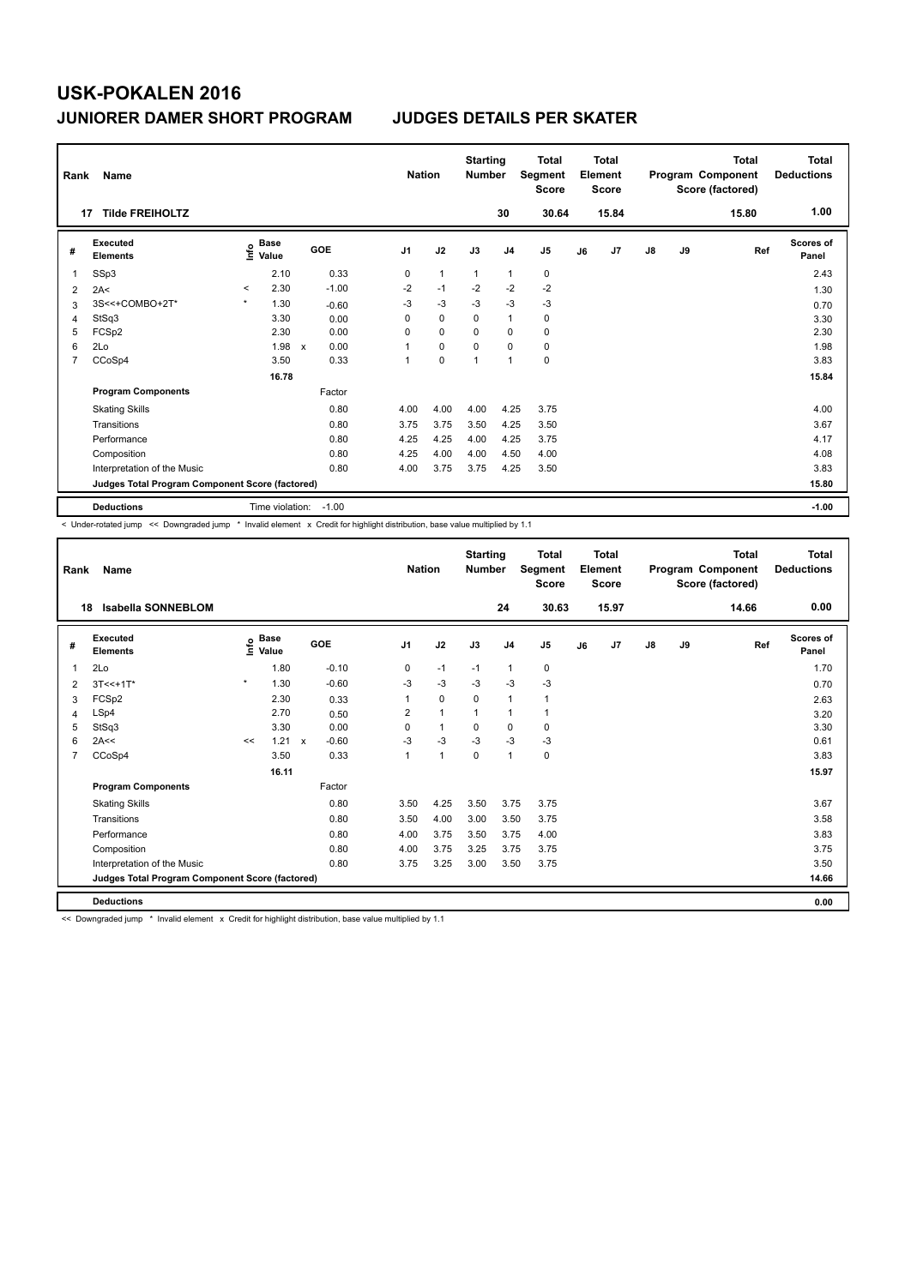| Rank           | Name                                            |         |                 |                           |         |                | <b>Nation</b>  | <b>Starting</b><br><b>Number</b> |                | <b>Total</b><br>Segment<br><b>Score</b> |    | <b>Total</b><br>Element<br><b>Score</b> |               |    | <b>Total</b><br>Program Component<br>Score (factored) | <b>Total</b><br><b>Deductions</b> |
|----------------|-------------------------------------------------|---------|-----------------|---------------------------|---------|----------------|----------------|----------------------------------|----------------|-----------------------------------------|----|-----------------------------------------|---------------|----|-------------------------------------------------------|-----------------------------------|
|                | <b>Tilde FREIHOLTZ</b><br>17                    |         |                 |                           |         |                |                |                                  | 30             | 30.64                                   |    | 15.84                                   |               |    | 15.80                                                 | 1.00                              |
| #              | Executed<br><b>Elements</b>                     | ١nfo    | Base<br>Value   | GOE                       |         | J <sub>1</sub> | J2             | J3                               | J <sub>4</sub> | J <sub>5</sub>                          | J6 | J7                                      | $\mathsf{J}8$ | J9 | Ref                                                   | <b>Scores of</b><br>Panel         |
| 1              | SSp3                                            |         | 2.10            |                           | 0.33    | 0              | $\overline{1}$ | $\mathbf{1}$                     | $\mathbf{1}$   | 0                                       |    |                                         |               |    |                                                       | 2.43                              |
| 2              | 2A<                                             | $\prec$ | 2.30            |                           | $-1.00$ | $-2$           | $-1$           | $-2$                             | $-2$           | $-2$                                    |    |                                         |               |    |                                                       | 1.30                              |
| 3              | 3S<<+COMBO+2T*                                  | $\star$ | 1.30            |                           | $-0.60$ | -3             | $-3$           | $-3$                             | $-3$           | $-3$                                    |    |                                         |               |    |                                                       | 0.70                              |
| 4              | StSq3                                           |         | 3.30            |                           | 0.00    | 0              | $\Omega$       | $\Omega$                         | $\mathbf{1}$   | 0                                       |    |                                         |               |    |                                                       | 3.30                              |
| 5              | FCSp2                                           |         | 2.30            |                           | 0.00    | 0              | $\mathbf 0$    | $\mathbf 0$                      | $\mathbf 0$    | $\mathbf 0$                             |    |                                         |               |    |                                                       | 2.30                              |
| 6              | 2Lo                                             |         | 1.98            | $\boldsymbol{\mathsf{x}}$ | 0.00    | 1              | 0              | 0                                | 0              | 0                                       |    |                                         |               |    |                                                       | 1.98                              |
| $\overline{7}$ | CCoSp4                                          |         | 3.50            |                           | 0.33    | 1              | $\mathbf 0$    | $\overline{1}$                   | $\mathbf{1}$   | $\mathbf 0$                             |    |                                         |               |    |                                                       | 3.83                              |
|                |                                                 |         | 16.78           |                           |         |                |                |                                  |                |                                         |    |                                         |               |    |                                                       | 15.84                             |
|                | <b>Program Components</b>                       |         |                 |                           | Factor  |                |                |                                  |                |                                         |    |                                         |               |    |                                                       |                                   |
|                | <b>Skating Skills</b>                           |         |                 |                           | 0.80    | 4.00           | 4.00           | 4.00                             | 4.25           | 3.75                                    |    |                                         |               |    |                                                       | 4.00                              |
|                | Transitions                                     |         |                 |                           | 0.80    | 3.75           | 3.75           | 3.50                             | 4.25           | 3.50                                    |    |                                         |               |    |                                                       | 3.67                              |
|                | Performance                                     |         |                 |                           | 0.80    | 4.25           | 4.25           | 4.00                             | 4.25           | 3.75                                    |    |                                         |               |    |                                                       | 4.17                              |
|                | Composition                                     |         |                 |                           | 0.80    | 4.25           | 4.00           | 4.00                             | 4.50           | 4.00                                    |    |                                         |               |    |                                                       | 4.08                              |
|                | Interpretation of the Music                     |         |                 |                           | 0.80    | 4.00           | 3.75           | 3.75                             | 4.25           | 3.50                                    |    |                                         |               |    |                                                       | 3.83                              |
|                | Judges Total Program Component Score (factored) |         |                 |                           |         |                |                |                                  |                |                                         |    |                                         |               |    |                                                       | 15.80                             |
|                | <b>Deductions</b>                               |         | Time violation: |                           | $-1.00$ |                |                |                                  |                |                                         |    |                                         |               |    |                                                       | $-1.00$                           |

-<br>< Under-rotated jump << Downgraded jump \* Invalid element x Credit for highlight distribution, base value multiplied by 1.1

| Rank           | Name                                            |         |                                           |              |         |                | <b>Nation</b> | <b>Starting</b><br><b>Number</b> |                | <b>Total</b><br>Segment<br><b>Score</b> |    | <b>Total</b><br>Element<br><b>Score</b> |               |    | <b>Total</b><br>Program Component<br>Score (factored) | <b>Total</b><br><b>Deductions</b> |
|----------------|-------------------------------------------------|---------|-------------------------------------------|--------------|---------|----------------|---------------|----------------------------------|----------------|-----------------------------------------|----|-----------------------------------------|---------------|----|-------------------------------------------------------|-----------------------------------|
|                | Isabella SONNEBLOM<br>18                        |         |                                           |              |         |                |               |                                  | 24             | 30.63                                   |    | 15.97                                   |               |    | 14.66                                                 | 0.00                              |
| #              | Executed<br><b>Elements</b>                     |         | $\frac{e}{E}$ Base<br>$\frac{e}{E}$ Value |              | GOE     | J <sub>1</sub> | J2            | J3                               | J <sub>4</sub> | J <sub>5</sub>                          | J6 | J7                                      | $\mathsf{J}8$ | J9 | Ref                                                   | Scores of<br>Panel                |
| 1              | 2Lo                                             |         | 1.80                                      |              | $-0.10$ | 0              | $-1$          | $-1$                             | 1              | $\mathbf 0$                             |    |                                         |               |    |                                                       | 1.70                              |
| 2              | $3T < +1T$ *                                    | $\star$ | 1.30                                      |              | $-0.60$ | $-3$           | $-3$          | $-3$                             | $-3$           | $-3$                                    |    |                                         |               |    |                                                       | 0.70                              |
| 3              | FCSp2                                           |         | 2.30                                      |              | 0.33    | 1              | $\mathbf 0$   | 0                                | $\mathbf{1}$   | 1                                       |    |                                         |               |    |                                                       | 2.63                              |
| 4              | LSp4                                            |         | 2.70                                      |              | 0.50    | 2              | $\mathbf{1}$  | $\mathbf{1}$                     | $\mathbf{1}$   | 1                                       |    |                                         |               |    |                                                       | 3.20                              |
| 5              | StSq3                                           |         | 3.30                                      |              | 0.00    | $\Omega$       | $\mathbf{1}$  | $\Omega$                         | $\mathbf 0$    | 0                                       |    |                                         |               |    |                                                       | 3.30                              |
| 6              | 2A<<                                            | <<      | 1.21                                      | $\mathbf{x}$ | $-0.60$ | $-3$           | -3            | $-3$                             | $-3$           | $-3$                                    |    |                                         |               |    |                                                       | 0.61                              |
| $\overline{7}$ | CCoSp4                                          |         | 3.50                                      |              | 0.33    | 1              | $\mathbf{1}$  | $\Omega$                         | $\mathbf{1}$   | 0                                       |    |                                         |               |    |                                                       | 3.83                              |
|                |                                                 |         | 16.11                                     |              |         |                |               |                                  |                |                                         |    |                                         |               |    |                                                       | 15.97                             |
|                | <b>Program Components</b>                       |         |                                           |              | Factor  |                |               |                                  |                |                                         |    |                                         |               |    |                                                       |                                   |
|                | <b>Skating Skills</b>                           |         |                                           |              | 0.80    | 3.50           | 4.25          | 3.50                             | 3.75           | 3.75                                    |    |                                         |               |    |                                                       | 3.67                              |
|                | Transitions                                     |         |                                           |              | 0.80    | 3.50           | 4.00          | 3.00                             | 3.50           | 3.75                                    |    |                                         |               |    |                                                       | 3.58                              |
|                | Performance                                     |         |                                           |              | 0.80    | 4.00           | 3.75          | 3.50                             | 3.75           | 4.00                                    |    |                                         |               |    |                                                       | 3.83                              |
|                | Composition                                     |         |                                           |              | 0.80    | 4.00           | 3.75          | 3.25                             | 3.75           | 3.75                                    |    |                                         |               |    |                                                       | 3.75                              |
|                | Interpretation of the Music                     |         |                                           |              | 0.80    | 3.75           | 3.25          | 3.00                             | 3.50           | 3.75                                    |    |                                         |               |    |                                                       | 3.50                              |
|                | Judges Total Program Component Score (factored) |         |                                           |              |         |                |               |                                  |                |                                         |    |                                         |               |    |                                                       | 14.66                             |
|                | <b>Deductions</b>                               |         |                                           |              |         |                |               |                                  |                |                                         |    |                                         |               |    |                                                       | 0.00                              |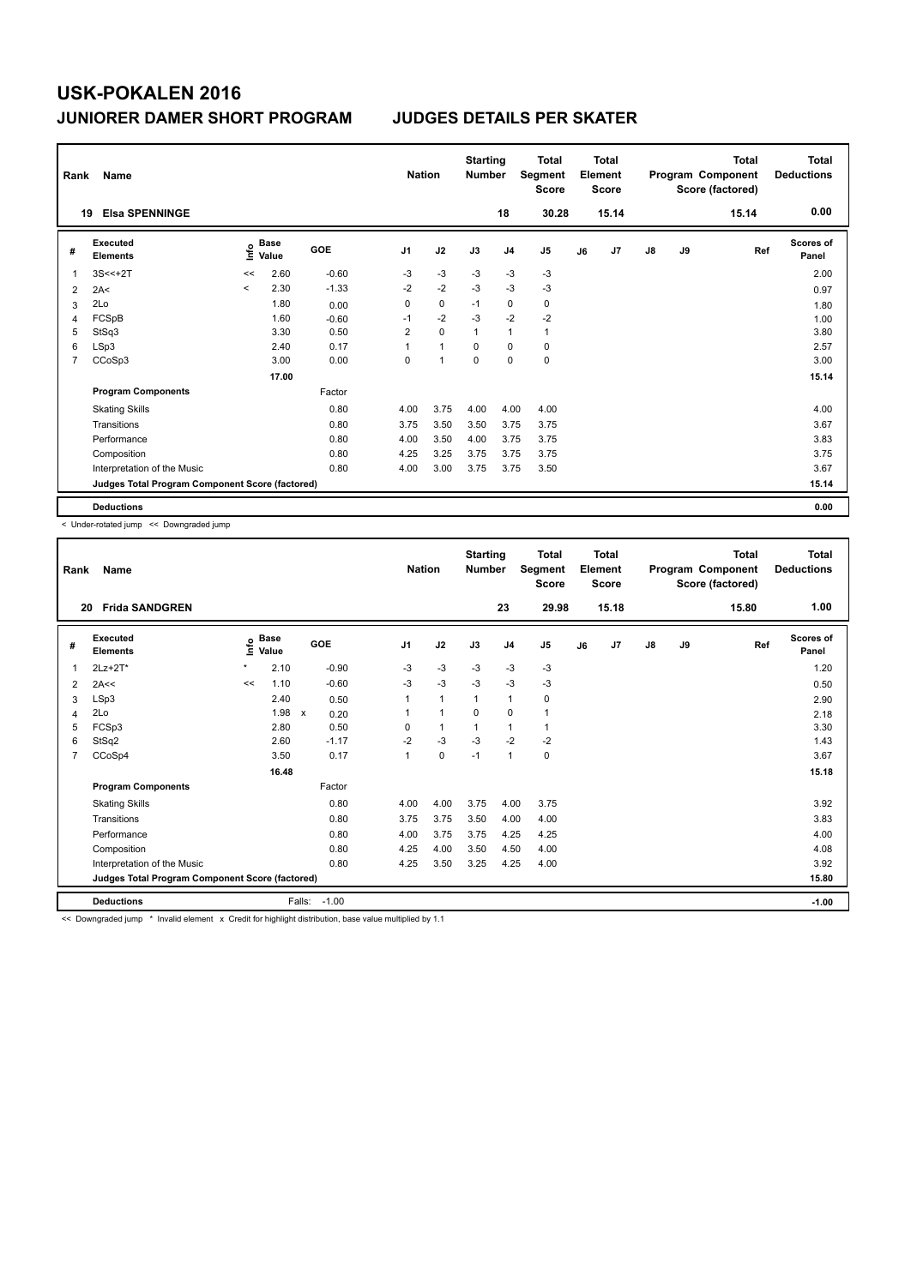| Rank           | Name                                            |         |               |         | <b>Nation</b>  |                | <b>Starting</b><br><b>Number</b> |                | <b>Total</b><br>Segment<br><b>Score</b> |    | <b>Total</b><br>Element<br><b>Score</b> |               |    | <b>Total</b><br>Program Component<br>Score (factored) | <b>Total</b><br><b>Deductions</b> |
|----------------|-------------------------------------------------|---------|---------------|---------|----------------|----------------|----------------------------------|----------------|-----------------------------------------|----|-----------------------------------------|---------------|----|-------------------------------------------------------|-----------------------------------|
|                | <b>Elsa SPENNINGE</b><br>19                     |         |               |         |                |                |                                  | 18             | 30.28                                   |    | 15.14                                   |               |    | 15.14                                                 | 0.00                              |
| #              | Executed<br><b>Elements</b>                     | ١nf٥    | Base<br>Value | GOE     | J <sub>1</sub> | J2             | J3                               | J <sub>4</sub> | J <sub>5</sub>                          | J6 | J7                                      | $\mathsf{J}8$ | J9 | Ref                                                   | <b>Scores of</b><br>Panel         |
| 1              | $3S < +2T$                                      | <<      | 2.60          | $-0.60$ | -3             | $-3$           | -3                               | -3             | -3                                      |    |                                         |               |    |                                                       | 2.00                              |
| 2              | 2A<                                             | $\prec$ | 2.30          | $-1.33$ | $-2$           | $-2$           | $-3$                             | $-3$           | $-3$                                    |    |                                         |               |    |                                                       | 0.97                              |
| 3              | 2Lo                                             |         | 1.80          | 0.00    | 0              | $\mathbf 0$    | $-1$                             | 0              | 0                                       |    |                                         |               |    |                                                       | 1.80                              |
| 4              | FCSpB                                           |         | 1.60          | $-0.60$ | $-1$           | $-2$           | $-3$                             | $-2$           | $-2$                                    |    |                                         |               |    |                                                       | 1.00                              |
| 5              | StSq3                                           |         | 3.30          | 0.50    | $\overline{2}$ | $\mathbf 0$    | $\overline{1}$                   | $\mathbf{1}$   | $\mathbf{1}$                            |    |                                         |               |    |                                                       | 3.80                              |
| 6              | LSp3                                            |         | 2.40          | 0.17    | 1              | $\overline{1}$ | 0                                | $\mathbf 0$    | $\mathbf 0$                             |    |                                         |               |    |                                                       | 2.57                              |
| $\overline{7}$ | CCoSp3                                          |         | 3.00          | 0.00    | 0              | $\overline{1}$ | $\mathbf 0$                      | $\mathbf 0$    | $\mathbf 0$                             |    |                                         |               |    |                                                       | 3.00                              |
|                |                                                 |         | 17.00         |         |                |                |                                  |                |                                         |    |                                         |               |    |                                                       | 15.14                             |
|                | <b>Program Components</b>                       |         |               | Factor  |                |                |                                  |                |                                         |    |                                         |               |    |                                                       |                                   |
|                | <b>Skating Skills</b>                           |         |               | 0.80    | 4.00           | 3.75           | 4.00                             | 4.00           | 4.00                                    |    |                                         |               |    |                                                       | 4.00                              |
|                | Transitions                                     |         |               | 0.80    | 3.75           | 3.50           | 3.50                             | 3.75           | 3.75                                    |    |                                         |               |    |                                                       | 3.67                              |
|                | Performance                                     |         |               | 0.80    | 4.00           | 3.50           | 4.00                             | 3.75           | 3.75                                    |    |                                         |               |    |                                                       | 3.83                              |
|                | Composition                                     |         |               | 0.80    | 4.25           | 3.25           | 3.75                             | 3.75           | 3.75                                    |    |                                         |               |    |                                                       | 3.75                              |
|                | Interpretation of the Music                     |         |               | 0.80    | 4.00           | 3.00           | 3.75                             | 3.75           | 3.50                                    |    |                                         |               |    |                                                       | 3.67                              |
|                | Judges Total Program Component Score (factored) |         |               |         |                |                |                                  |                |                                         |    |                                         |               |    |                                                       | 15.14                             |
|                | <b>Deductions</b>                               |         |               |         |                |                |                                  |                |                                         |    |                                         |               |    |                                                       | 0.00                              |

< Under-rotated jump << Downgraded jump

| Rank           | Name                                            |         |                      |                      |                | <b>Nation</b> | <b>Starting</b><br><b>Number</b> |                | <b>Total</b><br>Segment<br><b>Score</b> |    | Total<br>Element<br><b>Score</b> |               |    | <b>Total</b><br>Program Component<br>Score (factored) | <b>Total</b><br><b>Deductions</b> |
|----------------|-------------------------------------------------|---------|----------------------|----------------------|----------------|---------------|----------------------------------|----------------|-----------------------------------------|----|----------------------------------|---------------|----|-------------------------------------------------------|-----------------------------------|
| 20             | <b>Frida SANDGREN</b>                           |         |                      |                      |                |               |                                  | 23             | 29.98                                   |    | 15.18                            |               |    | 15.80                                                 | 1.00                              |
| #              | Executed<br><b>Elements</b>                     | ١nfo    | <b>Base</b><br>Value | GOE                  | J <sub>1</sub> | J2            | J3                               | J <sub>4</sub> | J <sub>5</sub>                          | J6 | J <sub>7</sub>                   | $\mathsf{J}8$ | J9 | Ref                                                   | Scores of<br>Panel                |
| 1              | $2Lz+2T^*$                                      | $\star$ | 2.10                 | $-0.90$              | $-3$           | $-3$          | $-3$                             | $-3$           | $-3$                                    |    |                                  |               |    |                                                       | 1.20                              |
| 2              | 2A<<                                            | <<      | 1.10                 | $-0.60$              | $-3$           | $-3$          | $-3$                             | $-3$           | $-3$                                    |    |                                  |               |    |                                                       | 0.50                              |
| 3              | LSp3                                            |         | 2.40                 | 0.50                 | 1              | $\mathbf{1}$  | $\mathbf{1}$                     | $\mathbf{1}$   | 0                                       |    |                                  |               |    |                                                       | 2.90                              |
| 4              | 2Lo                                             |         | 1.98                 | $\mathsf{x}$<br>0.20 |                | $\mathbf{1}$  | $\Omega$                         | 0              | 1                                       |    |                                  |               |    |                                                       | 2.18                              |
| 5              | FCSp3                                           |         | 2.80                 | 0.50                 | $\Omega$       | $\mathbf{1}$  | 1                                | $\mathbf{1}$   | 1                                       |    |                                  |               |    |                                                       | 3.30                              |
| 6              | StSq2                                           |         | 2.60                 | $-1.17$              | $-2$           | $-3$          | $-3$                             | $-2$           | $-2$                                    |    |                                  |               |    |                                                       | 1.43                              |
| $\overline{7}$ | CCoSp4                                          |         | 3.50                 | 0.17                 | $\mathbf{1}$   | $\mathbf 0$   | $-1$                             | $\mathbf{1}$   | 0                                       |    |                                  |               |    |                                                       | 3.67                              |
|                |                                                 |         | 16.48                |                      |                |               |                                  |                |                                         |    |                                  |               |    |                                                       | 15.18                             |
|                | <b>Program Components</b>                       |         |                      | Factor               |                |               |                                  |                |                                         |    |                                  |               |    |                                                       |                                   |
|                | <b>Skating Skills</b>                           |         |                      | 0.80                 | 4.00           | 4.00          | 3.75                             | 4.00           | 3.75                                    |    |                                  |               |    |                                                       | 3.92                              |
|                | Transitions                                     |         |                      | 0.80                 | 3.75           | 3.75          | 3.50                             | 4.00           | 4.00                                    |    |                                  |               |    |                                                       | 3.83                              |
|                | Performance                                     |         |                      | 0.80                 | 4.00           | 3.75          | 3.75                             | 4.25           | 4.25                                    |    |                                  |               |    |                                                       | 4.00                              |
|                | Composition                                     |         |                      | 0.80                 | 4.25           | 4.00          | 3.50                             | 4.50           | 4.00                                    |    |                                  |               |    |                                                       | 4.08                              |
|                | Interpretation of the Music                     |         |                      | 0.80                 | 4.25           | 3.50          | 3.25                             | 4.25           | 4.00                                    |    |                                  |               |    |                                                       | 3.92                              |
|                | Judges Total Program Component Score (factored) |         |                      |                      |                |               |                                  |                |                                         |    |                                  |               |    |                                                       | 15.80                             |
|                | <b>Deductions</b>                               |         |                      | Falls:<br>$-1.00$    |                |               |                                  |                |                                         |    |                                  |               |    |                                                       | $-1.00$                           |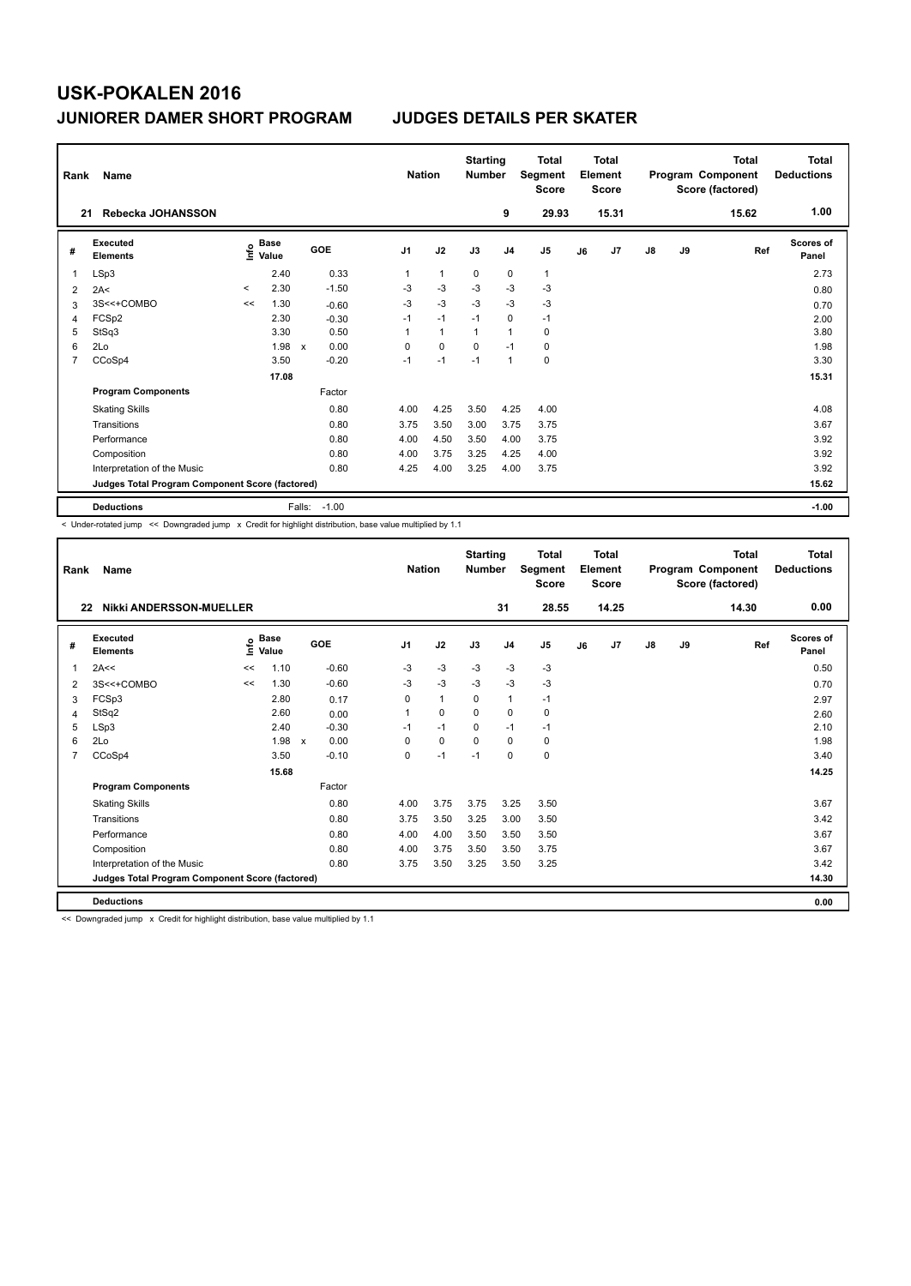| Rank           | Name                                            |         |                      |                           |         |                | <b>Nation</b> | <b>Starting</b><br><b>Number</b> |                | <b>Total</b><br>Segment<br><b>Score</b> |    | <b>Total</b><br>Element<br><b>Score</b> |               |    | <b>Total</b><br>Program Component<br>Score (factored) | <b>Total</b><br><b>Deductions</b> |
|----------------|-------------------------------------------------|---------|----------------------|---------------------------|---------|----------------|---------------|----------------------------------|----------------|-----------------------------------------|----|-----------------------------------------|---------------|----|-------------------------------------------------------|-----------------------------------|
| 21             | Rebecka JOHANSSON                               |         |                      |                           |         |                |               |                                  | 9              | 29.93                                   |    | 15.31                                   |               |    | 15.62                                                 | 1.00                              |
| #              | Executed<br><b>Elements</b>                     | ١nfo    | <b>Base</b><br>Value |                           | GOE     | J <sub>1</sub> | J2            | J3                               | J <sub>4</sub> | J5                                      | J6 | J7                                      | $\mathsf{J}8$ | J9 | Ref                                                   | <b>Scores of</b><br>Panel         |
| 1              | LSp3                                            |         | 2.40                 |                           | 0.33    | 1              | $\mathbf{1}$  | 0                                | $\mathbf 0$    | $\mathbf{1}$                            |    |                                         |               |    |                                                       | 2.73                              |
| 2              | 2A<                                             | $\prec$ | 2.30                 |                           | $-1.50$ | -3             | $-3$          | $-3$                             | $-3$           | $-3$                                    |    |                                         |               |    |                                                       | 0.80                              |
| 3              | 3S<<+COMBO                                      | <<      | 1.30                 |                           | $-0.60$ | $-3$           | $-3$          | $-3$                             | $-3$           | $-3$                                    |    |                                         |               |    |                                                       | 0.70                              |
| 4              | FCSp2                                           |         | 2.30                 |                           | $-0.30$ | $-1$           | $-1$          | $-1$                             | $\mathbf 0$    | $-1$                                    |    |                                         |               |    |                                                       | 2.00                              |
| 5              | StSq3                                           |         | 3.30                 |                           | 0.50    | 1              | $\mathbf{1}$  | $\mathbf{1}$                     | $\overline{1}$ | $\mathbf 0$                             |    |                                         |               |    |                                                       | 3.80                              |
| 6              | 2Lo                                             |         | 1.98                 | $\boldsymbol{\mathsf{x}}$ | 0.00    | 0              | 0             | 0                                | $-1$           | 0                                       |    |                                         |               |    |                                                       | 1.98                              |
| $\overline{7}$ | CCoSp4                                          |         | 3.50                 |                           | $-0.20$ | $-1$           | $-1$          | $-1$                             | $\mathbf{1}$   | $\mathbf 0$                             |    |                                         |               |    |                                                       | 3.30                              |
|                |                                                 |         | 17.08                |                           |         |                |               |                                  |                |                                         |    |                                         |               |    |                                                       | 15.31                             |
|                | <b>Program Components</b>                       |         |                      |                           | Factor  |                |               |                                  |                |                                         |    |                                         |               |    |                                                       |                                   |
|                | <b>Skating Skills</b>                           |         |                      |                           | 0.80    | 4.00           | 4.25          | 3.50                             | 4.25           | 4.00                                    |    |                                         |               |    |                                                       | 4.08                              |
|                | Transitions                                     |         |                      |                           | 0.80    | 3.75           | 3.50          | 3.00                             | 3.75           | 3.75                                    |    |                                         |               |    |                                                       | 3.67                              |
|                | Performance                                     |         |                      |                           | 0.80    | 4.00           | 4.50          | 3.50                             | 4.00           | 3.75                                    |    |                                         |               |    |                                                       | 3.92                              |
|                | Composition                                     |         |                      |                           | 0.80    | 4.00           | 3.75          | 3.25                             | 4.25           | 4.00                                    |    |                                         |               |    |                                                       | 3.92                              |
|                | Interpretation of the Music                     |         |                      |                           | 0.80    | 4.25           | 4.00          | 3.25                             | 4.00           | 3.75                                    |    |                                         |               |    |                                                       | 3.92                              |
|                | Judges Total Program Component Score (factored) |         |                      |                           |         |                |               |                                  |                |                                         |    |                                         |               |    |                                                       | 15.62                             |
|                | <b>Deductions</b>                               |         |                      | Falls:                    | $-1.00$ |                |               |                                  |                |                                         |    |                                         |               |    |                                                       | $-1.00$                           |

-<br>< Under-rotated jump << Downgraded jump x Credit for highlight distribution, base value multiplied by 1.1

| Rank | Name                                            |    |                      |                                   |                | <b>Nation</b> | <b>Starting</b><br><b>Number</b> |                | <b>Total</b><br>Segment<br><b>Score</b> |    | <b>Total</b><br>Element<br><b>Score</b> |               |    | <b>Total</b><br>Program Component<br>Score (factored) | <b>Total</b><br><b>Deductions</b> |
|------|-------------------------------------------------|----|----------------------|-----------------------------------|----------------|---------------|----------------------------------|----------------|-----------------------------------------|----|-----------------------------------------|---------------|----|-------------------------------------------------------|-----------------------------------|
| 22   | <b>Nikki ANDERSSON-MUELLER</b>                  |    |                      |                                   |                |               |                                  | 31             | 28.55                                   |    | 14.25                                   |               |    | 14.30                                                 | 0.00                              |
| #    | Executed<br><b>Elements</b>                     | ۴ů | <b>Base</b><br>Value | GOE                               | J <sub>1</sub> | J2            | J3                               | J <sub>4</sub> | J <sub>5</sub>                          | J6 | J7                                      | $\mathsf{J}8$ | J9 | Ref                                                   | <b>Scores of</b><br>Panel         |
| 1    | 2A<<                                            | << | 1.10                 | $-0.60$                           | $-3$           | $-3$          | $-3$                             | $-3$           | $-3$                                    |    |                                         |               |    |                                                       | 0.50                              |
| 2    | 3S<<+COMBO                                      | << | 1.30                 | $-0.60$                           | $-3$           | $-3$          | $-3$                             | $-3$           | $-3$                                    |    |                                         |               |    |                                                       | 0.70                              |
| 3    | FCSp3                                           |    | 2.80                 | 0.17                              | 0              | $\mathbf{1}$  | 0                                | $\mathbf{1}$   | $-1$                                    |    |                                         |               |    |                                                       | 2.97                              |
| 4    | StSq2                                           |    | 2.60                 | 0.00                              | 1              | $\mathbf 0$   | $\mathbf 0$                      | $\mathbf 0$    | 0                                       |    |                                         |               |    |                                                       | 2.60                              |
| 5    | LSp3                                            |    | 2.40                 | $-0.30$                           | $-1$           | $-1$          | $\Omega$                         | $-1$           | $-1$                                    |    |                                         |               |    |                                                       | 2.10                              |
| 6    | 2Lo                                             |    | 1.98                 | 0.00<br>$\boldsymbol{\mathsf{x}}$ | $\Omega$       | $\mathbf 0$   | $\Omega$                         | $\Omega$       | 0                                       |    |                                         |               |    |                                                       | 1.98                              |
| 7    | CCoSp4                                          |    | 3.50                 | $-0.10$                           | $\Omega$       | $-1$          | $-1$                             | $\Omega$       | 0                                       |    |                                         |               |    |                                                       | 3.40                              |
|      |                                                 |    | 15.68                |                                   |                |               |                                  |                |                                         |    |                                         |               |    |                                                       | 14.25                             |
|      | <b>Program Components</b>                       |    |                      | Factor                            |                |               |                                  |                |                                         |    |                                         |               |    |                                                       |                                   |
|      | <b>Skating Skills</b>                           |    |                      | 0.80                              | 4.00           | 3.75          | 3.75                             | 3.25           | 3.50                                    |    |                                         |               |    |                                                       | 3.67                              |
|      | Transitions                                     |    |                      | 0.80                              | 3.75           | 3.50          | 3.25                             | 3.00           | 3.50                                    |    |                                         |               |    |                                                       | 3.42                              |
|      | Performance                                     |    |                      | 0.80                              | 4.00           | 4.00          | 3.50                             | 3.50           | 3.50                                    |    |                                         |               |    |                                                       | 3.67                              |
|      | Composition                                     |    |                      | 0.80                              | 4.00           | 3.75          | 3.50                             | 3.50           | 3.75                                    |    |                                         |               |    |                                                       | 3.67                              |
|      | Interpretation of the Music                     |    |                      | 0.80                              | 3.75           | 3.50          | 3.25                             | 3.50           | 3.25                                    |    |                                         |               |    |                                                       | 3.42                              |
|      | Judges Total Program Component Score (factored) |    |                      |                                   |                |               |                                  |                |                                         |    |                                         |               |    |                                                       | 14.30                             |
|      | <b>Deductions</b>                               |    |                      |                                   |                |               |                                  |                |                                         |    |                                         |               |    |                                                       | 0.00                              |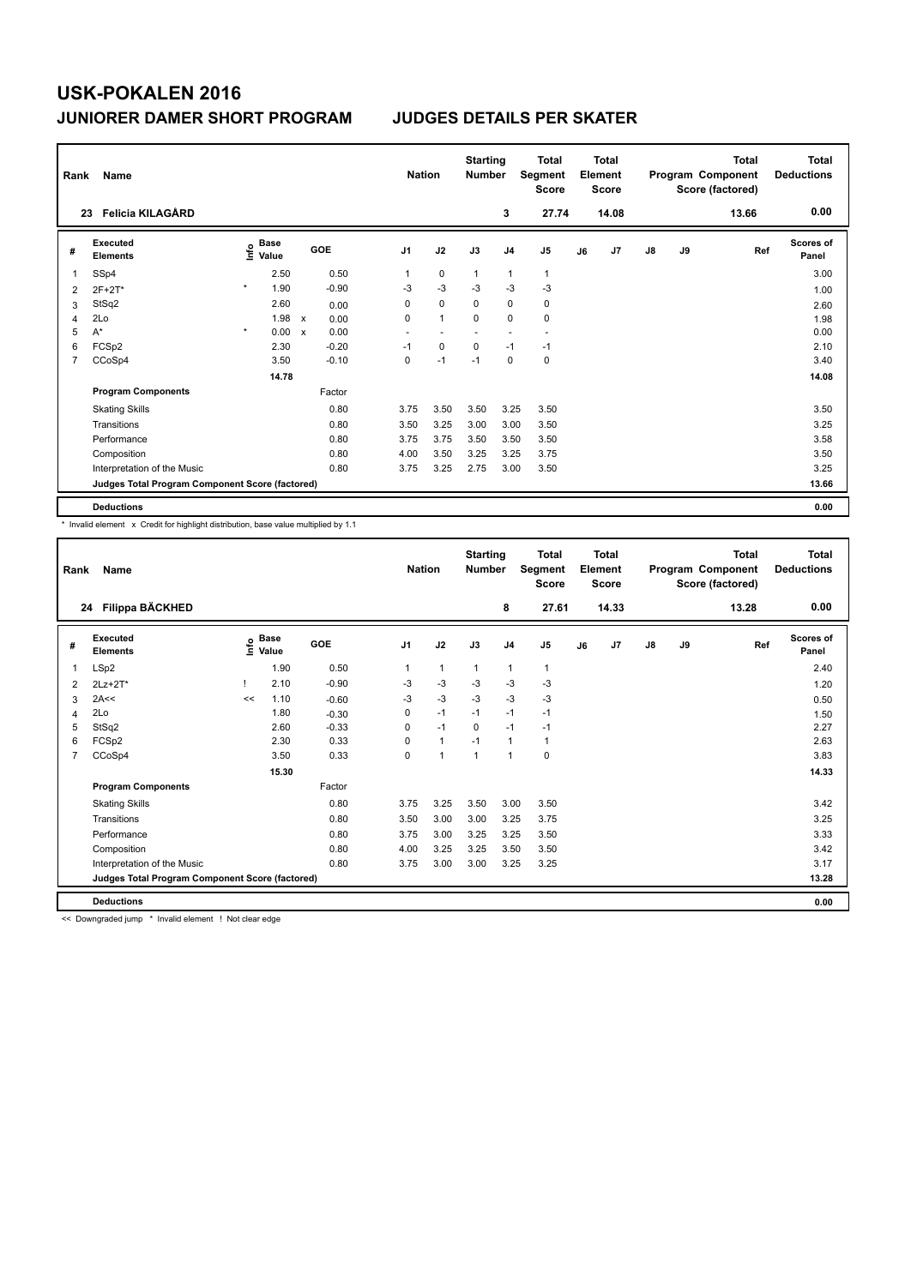| Rank           | Name                                            |                                  |                      | <b>Nation</b>            |              | <b>Starting</b><br><b>Number</b> |                | <b>Total</b><br>Segment<br><b>Score</b> |    | <b>Total</b><br>Element<br><b>Score</b> |               |    | <b>Total</b><br>Program Component<br>Score (factored) | Total<br><b>Deductions</b> |
|----------------|-------------------------------------------------|----------------------------------|----------------------|--------------------------|--------------|----------------------------------|----------------|-----------------------------------------|----|-----------------------------------------|---------------|----|-------------------------------------------------------|----------------------------|
|                | <b>Felicia KILAGÅRD</b><br>23                   |                                  |                      |                          |              |                                  | 3              | 27.74                                   |    | 14.08                                   |               |    | 13.66                                                 | 0.00                       |
| #              | <b>Executed</b><br><b>Elements</b>              | <b>Base</b><br>e Base<br>⊆ Value | GOE                  | J <sub>1</sub>           | J2           | J3                               | J <sub>4</sub> | J <sub>5</sub>                          | J6 | J7                                      | $\mathsf{J}8$ | J9 | Ref                                                   | <b>Scores of</b><br>Panel  |
| 1              | SSp4                                            | 2.50                             | 0.50                 | 1                        | $\mathbf 0$  | $\mathbf{1}$                     | $\mathbf{1}$   | $\mathbf{1}$                            |    |                                         |               |    |                                                       | 3.00                       |
| 2              | 2F+2T*                                          | $\star$<br>1.90                  | $-0.90$              | $-3$                     | $-3$         | $-3$                             | $-3$           | $-3$                                    |    |                                         |               |    |                                                       | 1.00                       |
| 3              | StSq2                                           | 2.60                             | 0.00                 | 0                        | $\mathbf 0$  | 0                                | 0              | 0                                       |    |                                         |               |    |                                                       | 2.60                       |
| 4              | 2Lo                                             | 1.98                             | $\mathsf{x}$<br>0.00 | 0                        | $\mathbf{1}$ | $\Omega$                         | $\mathbf 0$    | $\mathbf 0$                             |    |                                         |               |    |                                                       | 1.98                       |
| 5              | $A^*$                                           | $\star$<br>0.00                  | 0.00<br>$\mathsf{x}$ | $\overline{\phantom{a}}$ |              |                                  |                | $\overline{\phantom{a}}$                |    |                                         |               |    |                                                       | 0.00                       |
| 6              | FCSp2                                           | 2.30                             | $-0.20$              | $-1$                     | 0            | 0                                | $-1$           | $-1$                                    |    |                                         |               |    |                                                       | 2.10                       |
| $\overline{7}$ | CCoSp4                                          | 3.50                             | $-0.10$              | 0                        | $-1$         | $-1$                             | 0              | $\pmb{0}$                               |    |                                         |               |    |                                                       | 3.40                       |
|                |                                                 | 14.78                            |                      |                          |              |                                  |                |                                         |    |                                         |               |    |                                                       | 14.08                      |
|                | <b>Program Components</b>                       |                                  | Factor               |                          |              |                                  |                |                                         |    |                                         |               |    |                                                       |                            |
|                | <b>Skating Skills</b>                           |                                  | 0.80                 | 3.75                     | 3.50         | 3.50                             | 3.25           | 3.50                                    |    |                                         |               |    |                                                       | 3.50                       |
|                | Transitions                                     |                                  | 0.80                 | 3.50                     | 3.25         | 3.00                             | 3.00           | 3.50                                    |    |                                         |               |    |                                                       | 3.25                       |
|                | Performance                                     |                                  | 0.80                 | 3.75                     | 3.75         | 3.50                             | 3.50           | 3.50                                    |    |                                         |               |    |                                                       | 3.58                       |
|                | Composition                                     |                                  | 0.80                 | 4.00                     | 3.50         | 3.25                             | 3.25           | 3.75                                    |    |                                         |               |    |                                                       | 3.50                       |
|                | Interpretation of the Music                     |                                  | 0.80                 | 3.75                     | 3.25         | 2.75                             | 3.00           | 3.50                                    |    |                                         |               |    |                                                       | 3.25                       |
|                | Judges Total Program Component Score (factored) |                                  |                      |                          |              |                                  |                |                                         |    |                                         |               |    |                                                       | 13.66                      |
|                | <b>Deductions</b>                               |                                  |                      |                          |              |                                  |                |                                         |    |                                         |               |    |                                                       | 0.00                       |

\* Invalid element x Credit for highlight distribution, base value multiplied by 1.1

| Rank | Name                                            |    |                                           |         | <b>Nation</b>  |              | <b>Starting</b><br><b>Number</b> |                | <b>Total</b><br>Segment<br><b>Score</b> |    | Total<br>Element<br><b>Score</b> |               |    | Total<br>Program Component<br>Score (factored) | <b>Total</b><br><b>Deductions</b> |
|------|-------------------------------------------------|----|-------------------------------------------|---------|----------------|--------------|----------------------------------|----------------|-----------------------------------------|----|----------------------------------|---------------|----|------------------------------------------------|-----------------------------------|
|      | Filippa BÄCKHED<br>24                           |    |                                           |         |                |              |                                  | 8              | 27.61                                   |    | 14.33                            |               |    | 13.28                                          | 0.00                              |
| #    | Executed<br><b>Elements</b>                     |    | $\frac{e}{E}$ Base<br>$\frac{E}{E}$ Value | GOE     | J <sub>1</sub> | J2           | J3                               | J <sub>4</sub> | J <sub>5</sub>                          | J6 | J7                               | $\mathsf{J}8$ | J9 | Ref                                            | Scores of<br>Panel                |
|      | LSp2                                            |    | 1.90                                      | 0.50    | 1              | $\mathbf{1}$ | 1                                | 1              | $\mathbf{1}$                            |    |                                  |               |    |                                                | 2.40                              |
| 2    | $2Lz+2T^*$                                      |    | 2.10                                      | $-0.90$ | $-3$           | $-3$         | $-3$                             | $-3$           | $-3$                                    |    |                                  |               |    |                                                | 1.20                              |
| 3    | 2A<<                                            | << | 1.10                                      | $-0.60$ | -3             | $-3$         | $-3$                             | $-3$           | $-3$                                    |    |                                  |               |    |                                                | 0.50                              |
| 4    | 2Lo                                             |    | 1.80                                      | $-0.30$ | 0              | $-1$         | $-1$                             | $-1$           | $-1$                                    |    |                                  |               |    |                                                | 1.50                              |
| 5    | StSq2                                           |    | 2.60                                      | $-0.33$ | $\Omega$       | $-1$         | $\Omega$                         | $-1$           | $-1$                                    |    |                                  |               |    |                                                | 2.27                              |
| 6    | FCSp2                                           |    | 2.30                                      | 0.33    | $\Omega$       | $\mathbf{1}$ | $-1$                             | $\mathbf{1}$   | 1                                       |    |                                  |               |    |                                                | 2.63                              |
| 7    | CCoSp4                                          |    | 3.50                                      | 0.33    | 0              | $\mathbf{1}$ | $\mathbf{1}$                     | $\overline{1}$ | 0                                       |    |                                  |               |    |                                                | 3.83                              |
|      |                                                 |    | 15.30                                     |         |                |              |                                  |                |                                         |    |                                  |               |    |                                                | 14.33                             |
|      | <b>Program Components</b>                       |    |                                           | Factor  |                |              |                                  |                |                                         |    |                                  |               |    |                                                |                                   |
|      | <b>Skating Skills</b>                           |    |                                           | 0.80    | 3.75           | 3.25         | 3.50                             | 3.00           | 3.50                                    |    |                                  |               |    |                                                | 3.42                              |
|      | Transitions                                     |    |                                           | 0.80    | 3.50           | 3.00         | 3.00                             | 3.25           | 3.75                                    |    |                                  |               |    |                                                | 3.25                              |
|      | Performance                                     |    |                                           | 0.80    | 3.75           | 3.00         | 3.25                             | 3.25           | 3.50                                    |    |                                  |               |    |                                                | 3.33                              |
|      | Composition                                     |    |                                           | 0.80    | 4.00           | 3.25         | 3.25                             | 3.50           | 3.50                                    |    |                                  |               |    |                                                | 3.42                              |
|      | Interpretation of the Music                     |    |                                           | 0.80    | 3.75           | 3.00         | 3.00                             | 3.25           | 3.25                                    |    |                                  |               |    |                                                | 3.17                              |
|      | Judges Total Program Component Score (factored) |    |                                           |         |                |              |                                  |                |                                         |    |                                  |               |    |                                                | 13.28                             |
|      | <b>Deductions</b>                               |    |                                           |         |                |              |                                  |                |                                         |    |                                  |               |    |                                                | 0.00                              |

<< Downgraded jump \* Invalid element ! Not clear edge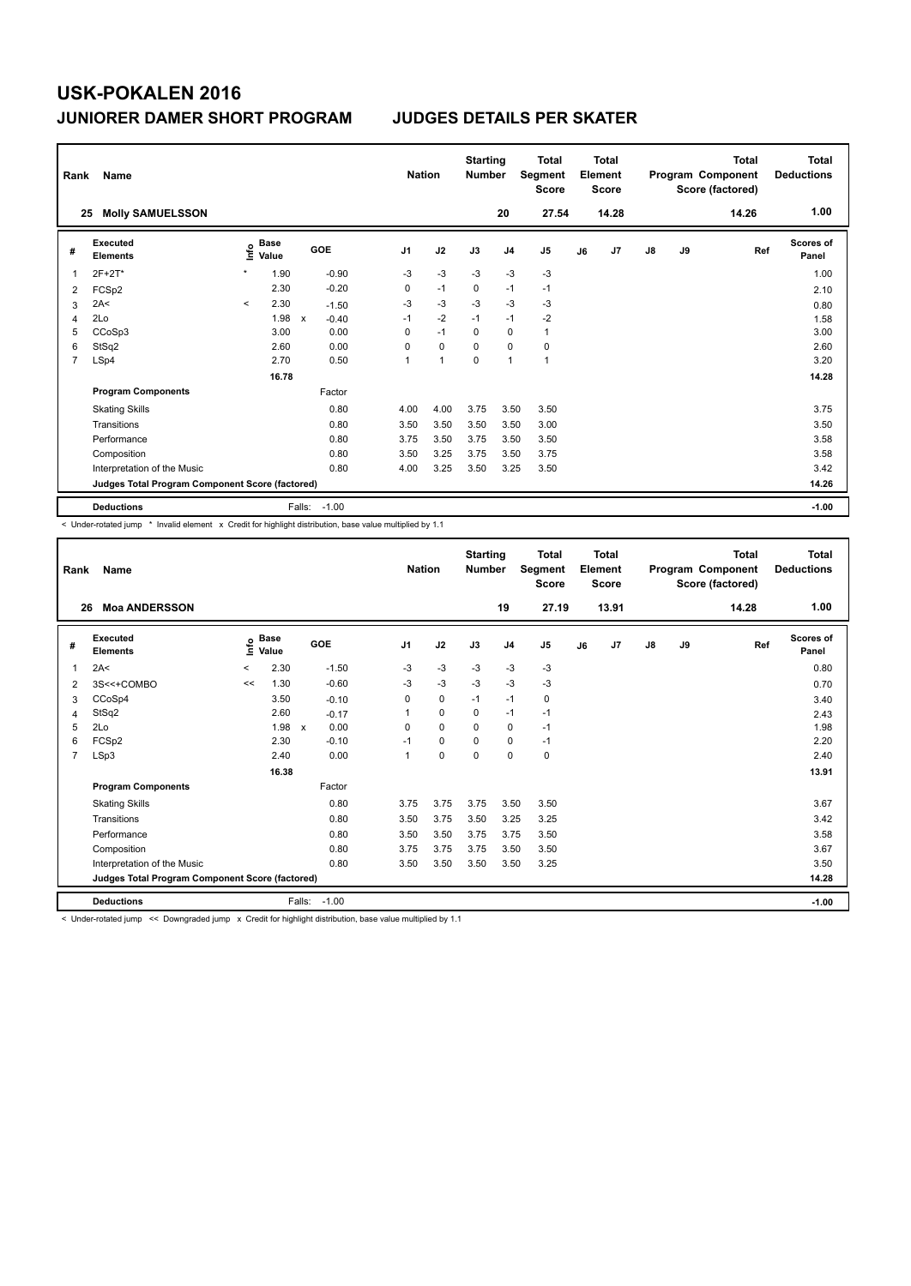| Rank | Name                                            |                          | <b>Nation</b> | <b>Starting</b><br><b>Number</b> |         | <b>Total</b><br>Segment<br><b>Score</b> | <b>Total</b><br>Element<br><b>Score</b> |             |                |              | <b>Total</b><br>Program Component<br>Score (factored) | Total<br><b>Deductions</b> |               |    |       |                    |
|------|-------------------------------------------------|--------------------------|---------------|----------------------------------|---------|-----------------------------------------|-----------------------------------------|-------------|----------------|--------------|-------------------------------------------------------|----------------------------|---------------|----|-------|--------------------|
|      | <b>Molly SAMUELSSON</b><br>25                   |                          |               |                                  |         |                                         |                                         |             | 20             | 27.54        |                                                       | 14.28                      |               |    | 14.26 | 1.00               |
| #    | Executed<br><b>Elements</b>                     | ١nf٥                     | Base<br>Value |                                  | GOE     | J <sub>1</sub>                          | J2                                      | J3          | J <sub>4</sub> | J5           | J6                                                    | J7                         | $\mathsf{J}8$ | J9 | Ref   | Scores of<br>Panel |
| 1    | 2F+2T*                                          | $\star$                  | 1.90          |                                  | $-0.90$ | $-3$                                    | $-3$                                    | $-3$        | $-3$           | $-3$         |                                                       |                            |               |    |       | 1.00               |
| 2    | FCSp2                                           |                          | 2.30          |                                  | $-0.20$ | 0                                       | $-1$                                    | $\mathbf 0$ | $-1$           | $-1$         |                                                       |                            |               |    |       | 2.10               |
| 3    | 2A<                                             | $\overline{\phantom{a}}$ | 2.30          |                                  | $-1.50$ | $-3$                                    | $-3$                                    | $-3$        | $-3$           | $-3$         |                                                       |                            |               |    |       | 0.80               |
| 4    | 2Lo                                             |                          | 1.98          | $\mathsf{x}$                     | $-0.40$ | $-1$                                    | $-2$                                    | $-1$        | $-1$           | $-2$         |                                                       |                            |               |    |       | 1.58               |
| 5    | CCoSp3                                          |                          | 3.00          |                                  | 0.00    | 0                                       | $-1$                                    | $\Omega$    | $\mathbf 0$    | $\mathbf{1}$ |                                                       |                            |               |    |       | 3.00               |
| 6    | StSq2                                           |                          | 2.60          |                                  | 0.00    | 0                                       | $\mathbf 0$                             | $\mathbf 0$ | $\mathbf 0$    | $\pmb{0}$    |                                                       |                            |               |    |       | 2.60               |
| 7    | LSp4                                            |                          | 2.70          |                                  | 0.50    | 1                                       | $\overline{1}$                          | $\mathbf 0$ | $\overline{1}$ | $\mathbf{1}$ |                                                       |                            |               |    |       | 3.20               |
|      |                                                 |                          | 16.78         |                                  |         |                                         |                                         |             |                |              |                                                       |                            |               |    |       | 14.28              |
|      | <b>Program Components</b>                       |                          |               |                                  | Factor  |                                         |                                         |             |                |              |                                                       |                            |               |    |       |                    |
|      | <b>Skating Skills</b>                           |                          |               |                                  | 0.80    | 4.00                                    | 4.00                                    | 3.75        | 3.50           | 3.50         |                                                       |                            |               |    |       | 3.75               |
|      | Transitions                                     |                          |               |                                  | 0.80    | 3.50                                    | 3.50                                    | 3.50        | 3.50           | 3.00         |                                                       |                            |               |    |       | 3.50               |
|      | Performance                                     |                          |               |                                  | 0.80    | 3.75                                    | 3.50                                    | 3.75        | 3.50           | 3.50         |                                                       |                            |               |    |       | 3.58               |
|      | Composition                                     |                          |               |                                  | 0.80    | 3.50                                    | 3.25                                    | 3.75        | 3.50           | 3.75         |                                                       |                            |               |    |       | 3.58               |
|      | Interpretation of the Music                     |                          |               |                                  | 0.80    | 4.00                                    | 3.25                                    | 3.50        | 3.25           | 3.50         |                                                       |                            |               |    |       | 3.42               |
|      | Judges Total Program Component Score (factored) |                          |               |                                  |         |                                         |                                         |             |                |              |                                                       |                            |               |    |       | 14.26              |
|      | <b>Deductions</b>                               |                          |               | Falls:                           | $-1.00$ |                                         |                                         |             |                |              |                                                       |                            |               |    |       | $-1.00$            |

-<br>< Under-rotated jump \* Invalid element x Credit for highlight distribution, base value multiplied by 1.1

| Rank           | Name                                            | <b>Nation</b> |                            | <b>Starting</b><br><b>Number</b>  |                | <b>Total</b><br>Segment<br><b>Score</b> | Total<br>Element<br><b>Score</b> |                |                |    | <b>Total</b><br>Program Component<br>Score (factored) | <b>Total</b><br><b>Deductions</b> |    |       |                    |
|----------------|-------------------------------------------------|---------------|----------------------------|-----------------------------------|----------------|-----------------------------------------|----------------------------------|----------------|----------------|----|-------------------------------------------------------|-----------------------------------|----|-------|--------------------|
| 26             | <b>Moa ANDERSSON</b>                            |               |                            |                                   |                |                                         |                                  | 19             | 27.19          |    | 13.91                                                 |                                   |    | 14.28 | 1.00               |
| #              | Executed<br><b>Elements</b>                     |               | e Base<br>E Value<br>Value | GOE                               | J <sub>1</sub> | J2                                      | J3                               | J <sub>4</sub> | J <sub>5</sub> | J6 | J <sub>7</sub>                                        | $\mathsf{J}8$                     | J9 | Ref   | Scores of<br>Panel |
| 1              | 2A<                                             | $\prec$       | 2.30                       | $-1.50$                           | $-3$           | $-3$                                    | $-3$                             | $-3$           | $-3$           |    |                                                       |                                   |    |       | 0.80               |
| 2              | 3S<<+COMBO                                      | <<            | 1.30                       | $-0.60$                           | $-3$           | $-3$                                    | $-3$                             | $-3$           | $-3$           |    |                                                       |                                   |    |       | 0.70               |
| 3              | CCoSp4                                          |               | 3.50                       | $-0.10$                           | 0              | $\mathbf 0$                             | $-1$                             | $-1$           | 0              |    |                                                       |                                   |    |       | 3.40               |
| 4              | StSq2                                           |               | 2.60                       | $-0.17$                           | 1              | $\mathbf 0$                             | 0                                | $-1$           | $-1$           |    |                                                       |                                   |    |       | 2.43               |
| 5              | 2Lo                                             |               | 1.98                       | 0.00<br>$\boldsymbol{\mathsf{x}}$ | $\Omega$       | $\Omega$                                | $\Omega$                         | $\Omega$       | $-1$           |    |                                                       |                                   |    |       | 1.98               |
| 6              | FCSp2                                           |               | 2.30                       | $-0.10$                           | $-1$           | $\mathbf 0$                             | 0                                | 0              | $-1$           |    |                                                       |                                   |    |       | 2.20               |
| $\overline{7}$ | LSp3                                            |               | 2.40                       | 0.00                              | $\mathbf{1}$   | $\mathbf 0$                             | $\mathbf 0$                      | $\mathbf 0$    | 0              |    |                                                       |                                   |    |       | 2.40               |
|                |                                                 |               | 16.38                      |                                   |                |                                         |                                  |                |                |    |                                                       |                                   |    |       | 13.91              |
|                | <b>Program Components</b>                       |               |                            | Factor                            |                |                                         |                                  |                |                |    |                                                       |                                   |    |       |                    |
|                | <b>Skating Skills</b>                           |               |                            | 0.80                              | 3.75           | 3.75                                    | 3.75                             | 3.50           | 3.50           |    |                                                       |                                   |    |       | 3.67               |
|                | Transitions                                     |               |                            | 0.80                              | 3.50           | 3.75                                    | 3.50                             | 3.25           | 3.25           |    |                                                       |                                   |    |       | 3.42               |
|                | Performance                                     |               |                            | 0.80                              | 3.50           | 3.50                                    | 3.75                             | 3.75           | 3.50           |    |                                                       |                                   |    |       | 3.58               |
|                | Composition                                     |               |                            | 0.80                              | 3.75           | 3.75                                    | 3.75                             | 3.50           | 3.50           |    |                                                       |                                   |    |       | 3.67               |
|                | Interpretation of the Music                     |               |                            | 0.80                              | 3.50           | 3.50                                    | 3.50                             | 3.50           | 3.25           |    |                                                       |                                   |    |       | 3.50               |
|                | Judges Total Program Component Score (factored) |               |                            |                                   |                |                                         |                                  |                |                |    |                                                       |                                   |    |       | 14.28              |
|                | <b>Deductions</b>                               |               |                            | Falls:<br>$-1.00$                 |                |                                         |                                  |                |                |    |                                                       |                                   |    |       | $-1.00$            |

< Under-rotated jump << Downgraded jump x Credit for highlight distribution, base value multiplied by 1.1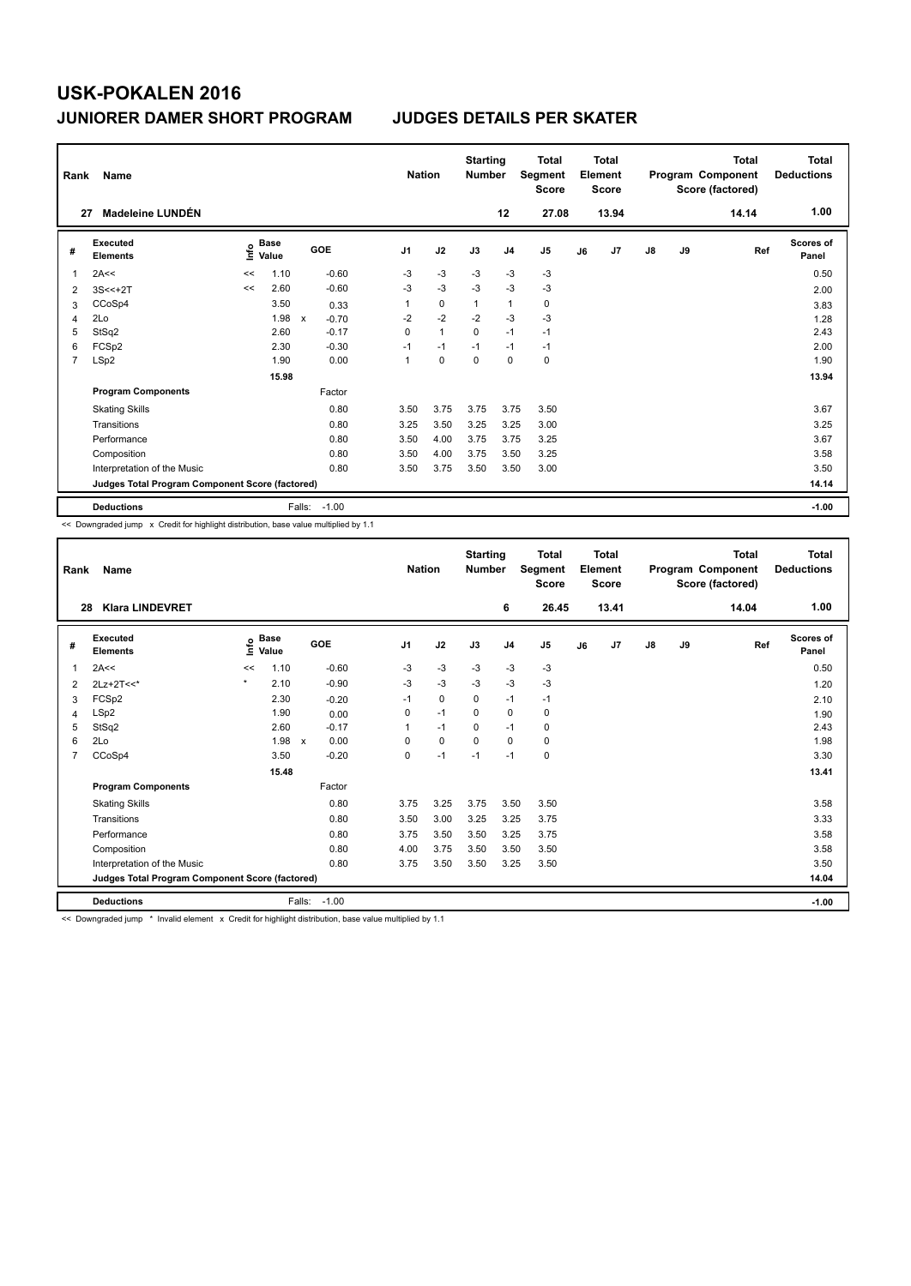| Rank           | Name                                            |      | <b>Nation</b>        |                           |         | <b>Total</b><br>Segment<br><b>Score</b> | Total<br>Element<br><b>Score</b> |              |                |             | <b>Total</b><br>Program Component<br>Score (factored) | <b>Total</b><br><b>Deductions</b> |               |    |       |                           |
|----------------|-------------------------------------------------|------|----------------------|---------------------------|---------|-----------------------------------------|----------------------------------|--------------|----------------|-------------|-------------------------------------------------------|-----------------------------------|---------------|----|-------|---------------------------|
| 27             | Madeleine LUNDÉN                                |      |                      |                           |         |                                         |                                  |              | 12             | 27.08       |                                                       | 13.94                             |               |    | 14.14 | 1.00                      |
| #              | Executed<br><b>Elements</b>                     | ١nf٥ | <b>Base</b><br>Value |                           | GOE     | J <sub>1</sub>                          | J2                               | J3           | J <sub>4</sub> | J5          | J6                                                    | J7                                | $\mathsf{J}8$ | J9 | Ref   | <b>Scores of</b><br>Panel |
| 1              | 2A<<                                            | <<   | 1.10                 |                           | $-0.60$ | $-3$                                    | $-3$                             | $-3$         | $-3$           | $-3$        |                                                       |                                   |               |    |       | 0.50                      |
| 2              | $3S < +2T$                                      | <<   | 2.60                 |                           | $-0.60$ | $-3$                                    | $-3$                             | $-3$         | $-3$           | $-3$        |                                                       |                                   |               |    |       | 2.00                      |
| 3              | CCoSp4                                          |      | 3.50                 |                           | 0.33    | 1                                       | $\mathbf 0$                      | $\mathbf{1}$ | $\mathbf{1}$   | $\mathbf 0$ |                                                       |                                   |               |    |       | 3.83                      |
| 4              | 2Lo                                             |      | 1.98                 | $\boldsymbol{\mathsf{x}}$ | $-0.70$ | $-2$                                    | $-2$                             | $-2$         | $-3$           | $-3$        |                                                       |                                   |               |    |       | 1.28                      |
| 5              | StSq2                                           |      | 2.60                 |                           | $-0.17$ | 0                                       | $\mathbf{1}$                     | $\mathbf 0$  | $-1$           | $-1$        |                                                       |                                   |               |    |       | 2.43                      |
| 6              | FCSp2                                           |      | 2.30                 |                           | $-0.30$ | $-1$                                    | $-1$                             | $-1$         | $-1$           | $-1$        |                                                       |                                   |               |    |       | 2.00                      |
| $\overline{7}$ | LSp2                                            |      | 1.90                 |                           | 0.00    | 1                                       | 0                                | 0            | 0              | 0           |                                                       |                                   |               |    |       | 1.90                      |
|                |                                                 |      | 15.98                |                           |         |                                         |                                  |              |                |             |                                                       |                                   |               |    |       | 13.94                     |
|                | <b>Program Components</b>                       |      |                      |                           | Factor  |                                         |                                  |              |                |             |                                                       |                                   |               |    |       |                           |
|                | <b>Skating Skills</b>                           |      |                      |                           | 0.80    | 3.50                                    | 3.75                             | 3.75         | 3.75           | 3.50        |                                                       |                                   |               |    |       | 3.67                      |
|                | Transitions                                     |      |                      |                           | 0.80    | 3.25                                    | 3.50                             | 3.25         | 3.25           | 3.00        |                                                       |                                   |               |    |       | 3.25                      |
|                | Performance                                     |      |                      |                           | 0.80    | 3.50                                    | 4.00                             | 3.75         | 3.75           | 3.25        |                                                       |                                   |               |    |       | 3.67                      |
|                | Composition                                     |      |                      |                           | 0.80    | 3.50                                    | 4.00                             | 3.75         | 3.50           | 3.25        |                                                       |                                   |               |    |       | 3.58                      |
|                | Interpretation of the Music                     |      |                      |                           | 0.80    | 3.50                                    | 3.75                             | 3.50         | 3.50           | 3.00        |                                                       |                                   |               |    |       | 3.50                      |
|                | Judges Total Program Component Score (factored) |      |                      |                           |         |                                         |                                  |              |                |             |                                                       |                                   |               |    |       | 14.14                     |
|                | <b>Deductions</b>                               |      |                      | Falls:                    | $-1.00$ |                                         |                                  |              |                |             |                                                       |                                   |               |    |       | $-1.00$                   |

<< Downgraded jump x Credit for highlight distribution, base value multiplied by 1.1

| Rank           | Name                                            |         | <b>Nation</b>              | <b>Starting</b><br><b>Number</b>  |                | <b>Total</b><br>Segment<br><b>Score</b> | Total<br>Element<br><b>Score</b> |                |                |    | <b>Total</b><br>Program Component<br>Score (factored) | <b>Total</b><br><b>Deductions</b> |    |       |                    |
|----------------|-------------------------------------------------|---------|----------------------------|-----------------------------------|----------------|-----------------------------------------|----------------------------------|----------------|----------------|----|-------------------------------------------------------|-----------------------------------|----|-------|--------------------|
| 28             | <b>Klara LINDEVRET</b>                          |         |                            |                                   |                |                                         |                                  | 6              | 26.45          |    | 13.41                                                 |                                   |    | 14.04 | 1.00               |
| #              | Executed<br><b>Elements</b>                     |         | e Base<br>E Value<br>Value | <b>GOE</b>                        | J <sub>1</sub> | J2                                      | J3                               | J <sub>4</sub> | J <sub>5</sub> | J6 | J <sub>7</sub>                                        | $\mathsf{J}8$                     | J9 | Ref   | Scores of<br>Panel |
|                | 2A<<                                            | <<      | 1.10                       | $-0.60$                           | $-3$           | $-3$                                    | $-3$                             | $-3$           | $-3$           |    |                                                       |                                   |    |       | 0.50               |
| 2              | $2Lz+2T<<$                                      | $\star$ | 2.10                       | $-0.90$                           | $-3$           | $-3$                                    | $-3$                             | $-3$           | $-3$           |    |                                                       |                                   |    |       | 1.20               |
| 3              | FCSp2                                           |         | 2.30                       | $-0.20$                           | $-1$           | 0                                       | $\Omega$                         | $-1$           | $-1$           |    |                                                       |                                   |    |       | 2.10               |
| 4              | LSp2                                            |         | 1.90                       | 0.00                              | 0              | $-1$                                    | $\Omega$                         | $\mathbf 0$    | 0              |    |                                                       |                                   |    |       | 1.90               |
| 5              | StSq2                                           |         | 2.60                       | $-0.17$                           | 1              | $-1$                                    | 0                                | $-1$           | 0              |    |                                                       |                                   |    |       | 2.43               |
| 6              | 2Lo                                             |         | 1.98                       | 0.00<br>$\boldsymbol{\mathsf{x}}$ | 0              | 0                                       | $\Omega$                         | $\mathbf 0$    | 0              |    |                                                       |                                   |    |       | 1.98               |
| $\overline{7}$ | CCoSp4                                          |         | 3.50                       | $-0.20$                           | 0              | $-1$                                    | $-1$                             | $-1$           | 0              |    |                                                       |                                   |    |       | 3.30               |
|                |                                                 |         | 15.48                      |                                   |                |                                         |                                  |                |                |    |                                                       |                                   |    |       | 13.41              |
|                | <b>Program Components</b>                       |         |                            | Factor                            |                |                                         |                                  |                |                |    |                                                       |                                   |    |       |                    |
|                | <b>Skating Skills</b>                           |         |                            | 0.80                              | 3.75           | 3.25                                    | 3.75                             | 3.50           | 3.50           |    |                                                       |                                   |    |       | 3.58               |
|                | Transitions                                     |         |                            | 0.80                              | 3.50           | 3.00                                    | 3.25                             | 3.25           | 3.75           |    |                                                       |                                   |    |       | 3.33               |
|                | Performance                                     |         |                            | 0.80                              | 3.75           | 3.50                                    | 3.50                             | 3.25           | 3.75           |    |                                                       |                                   |    |       | 3.58               |
|                | Composition                                     |         |                            | 0.80                              | 4.00           | 3.75                                    | 3.50                             | 3.50           | 3.50           |    |                                                       |                                   |    |       | 3.58               |
|                | Interpretation of the Music                     |         |                            | 0.80                              | 3.75           | 3.50                                    | 3.50                             | 3.25           | 3.50           |    |                                                       |                                   |    |       | 3.50               |
|                | Judges Total Program Component Score (factored) |         |                            |                                   |                |                                         |                                  |                |                |    |                                                       |                                   |    |       | 14.04              |
|                | <b>Deductions</b><br>$\cdots$                   |         |                            | Falls:<br>$-1.00$                 | .              |                                         |                                  |                |                |    |                                                       |                                   |    |       | $-1.00$            |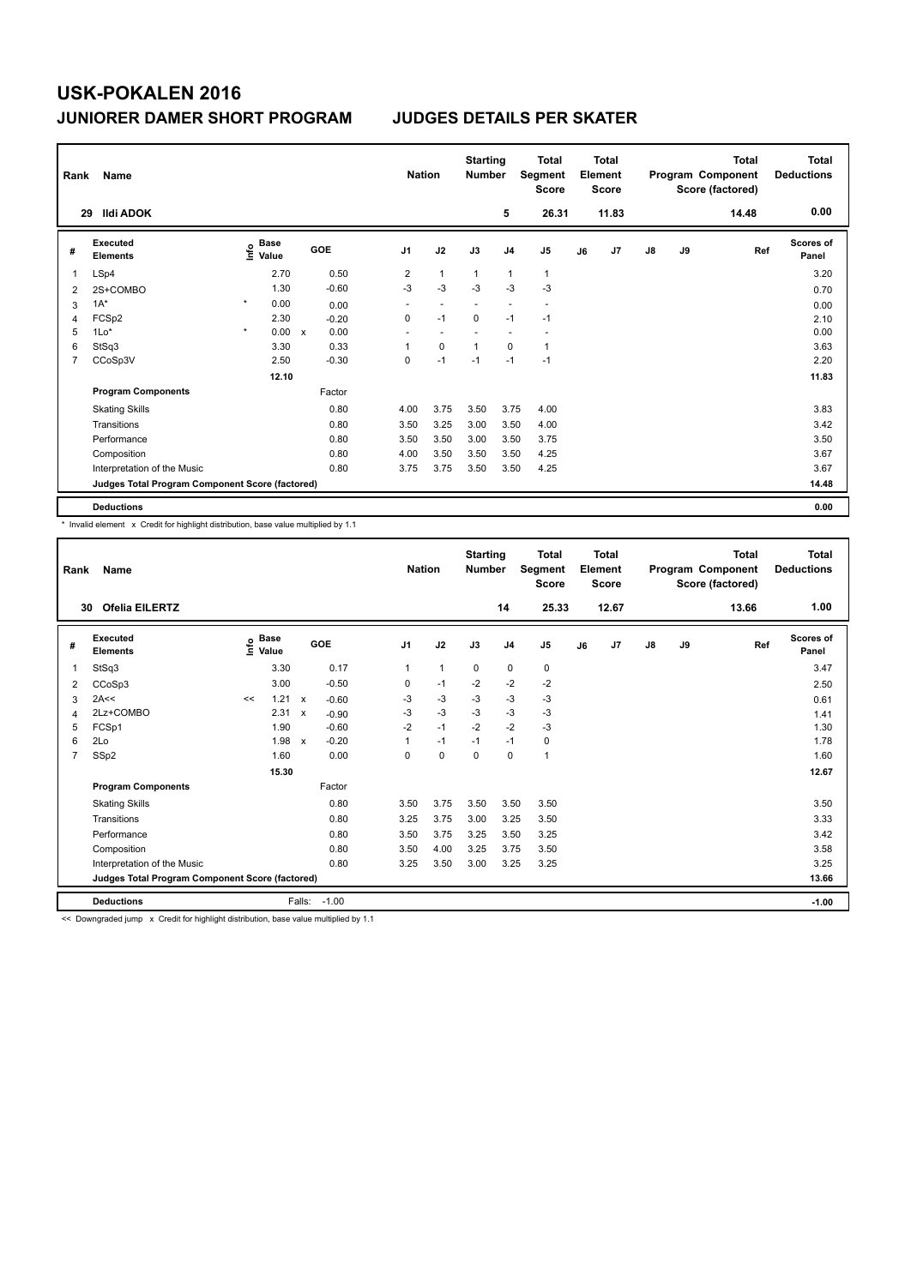| Rank           | Name                                            |         | <b>Nation</b>                    | <b>Starting</b><br><b>Number</b> |            | Total<br>Segment<br><b>Score</b> | Total<br>Element<br><b>Score</b> |                          | Program Component |                          | <b>Total</b><br>Score (factored) | <b>Total</b><br><b>Deductions</b> |               |    |       |                    |
|----------------|-------------------------------------------------|---------|----------------------------------|----------------------------------|------------|----------------------------------|----------------------------------|--------------------------|-------------------|--------------------------|----------------------------------|-----------------------------------|---------------|----|-------|--------------------|
|                | <b>Ildi ADOK</b><br>29                          |         |                                  |                                  |            |                                  |                                  |                          | 5                 | 26.31                    |                                  | 11.83                             |               |    | 14.48 | 0.00               |
| #              | <b>Executed</b><br><b>Elements</b>              |         | <b>Base</b><br>e Base<br>⊆ Value |                                  | <b>GOE</b> | J <sub>1</sub>                   | J2                               | J3                       | J <sub>4</sub>    | J5                       | J6                               | J <sub>7</sub>                    | $\mathsf{J}8$ | J9 | Ref   | Scores of<br>Panel |
| 1              | LSp4                                            |         | 2.70                             |                                  | 0.50       | 2                                | $\mathbf{1}$                     | $\overline{1}$           | $\overline{1}$    | $\mathbf{1}$             |                                  |                                   |               |    |       | 3.20               |
| 2              | 2S+COMBO                                        |         | 1.30                             |                                  | $-0.60$    | $-3$                             | $-3$                             | $-3$                     | $-3$              | $-3$                     |                                  |                                   |               |    |       | 0.70               |
| 3              | $1A^*$                                          | $\star$ | 0.00                             |                                  | 0.00       | $\overline{\phantom{a}}$         | $\overline{\phantom{a}}$         | $\overline{\phantom{a}}$ | ٠                 | $\overline{a}$           |                                  |                                   |               |    |       | 0.00               |
| 4              | FCSp2                                           |         | 2.30                             |                                  | $-0.20$    | 0                                | $-1$                             | $\mathbf 0$              | $-1$              | $-1$                     |                                  |                                   |               |    |       | 2.10               |
| 5              | $1Lo*$                                          | $\star$ | 0.00                             | $\mathbf x$                      | 0.00       | $\overline{\phantom{a}}$         | $\overline{\phantom{a}}$         |                          |                   | $\overline{\phantom{a}}$ |                                  |                                   |               |    |       | 0.00               |
| 6              | StSq3                                           |         | 3.30                             |                                  | 0.33       | 1                                | $\mathbf 0$                      | 1                        | $\mathbf 0$       | $\mathbf{1}$             |                                  |                                   |               |    |       | 3.63               |
| $\overline{7}$ | CCoSp3V                                         |         | 2.50                             |                                  | $-0.30$    | 0                                | $-1$                             | $-1$                     | $-1$              | $-1$                     |                                  |                                   |               |    |       | 2.20               |
|                |                                                 |         | 12.10                            |                                  |            |                                  |                                  |                          |                   |                          |                                  |                                   |               |    |       | 11.83              |
|                | <b>Program Components</b>                       |         |                                  |                                  | Factor     |                                  |                                  |                          |                   |                          |                                  |                                   |               |    |       |                    |
|                | <b>Skating Skills</b>                           |         |                                  |                                  | 0.80       | 4.00                             | 3.75                             | 3.50                     | 3.75              | 4.00                     |                                  |                                   |               |    |       | 3.83               |
|                | Transitions                                     |         |                                  |                                  | 0.80       | 3.50                             | 3.25                             | 3.00                     | 3.50              | 4.00                     |                                  |                                   |               |    |       | 3.42               |
|                | Performance                                     |         |                                  |                                  | 0.80       | 3.50                             | 3.50                             | 3.00                     | 3.50              | 3.75                     |                                  |                                   |               |    |       | 3.50               |
|                | Composition                                     |         |                                  |                                  | 0.80       | 4.00                             | 3.50                             | 3.50                     | 3.50              | 4.25                     |                                  |                                   |               |    |       | 3.67               |
|                | Interpretation of the Music                     |         |                                  |                                  | 0.80       | 3.75                             | 3.75                             | 3.50                     | 3.50              | 4.25                     |                                  |                                   |               |    |       | 3.67               |
|                | Judges Total Program Component Score (factored) |         |                                  |                                  |            |                                  |                                  |                          |                   |                          |                                  |                                   |               |    |       | 14.48              |
|                | <b>Deductions</b>                               |         |                                  |                                  |            |                                  |                                  |                          |                   |                          |                                  |                                   |               |    |       | 0.00               |

\* Invalid element x Credit for highlight distribution, base value multiplied by 1.1

| Rank                    | Name                                            |    | <b>Nation</b>                             |                           |         | <b>Starting</b><br><b>Number</b> | <b>Total</b><br>Segment<br><b>Score</b> | <b>Total</b><br>Element<br><b>Score</b> |             |                |                | <b>Total</b><br>Program Component<br>Score (factored) | <b>Total</b><br><b>Deductions</b> |               |    |       |                           |
|-------------------------|-------------------------------------------------|----|-------------------------------------------|---------------------------|---------|----------------------------------|-----------------------------------------|-----------------------------------------|-------------|----------------|----------------|-------------------------------------------------------|-----------------------------------|---------------|----|-------|---------------------------|
| 30                      | <b>Ofelia EILERTZ</b>                           |    |                                           |                           |         |                                  |                                         |                                         |             | 14             | 25.33          |                                                       | 12.67                             |               |    | 13.66 | 1.00                      |
| #                       | Executed<br><b>Elements</b>                     |    | $\frac{e}{E}$ Base<br>$\frac{E}{E}$ Value |                           | GOE     | J <sub>1</sub>                   |                                         | J2                                      | J3          | J <sub>4</sub> | J <sub>5</sub> | J6                                                    | J <sub>7</sub>                    | $\mathsf{J}8$ | J9 | Ref   | <b>Scores of</b><br>Panel |
|                         | StSq3                                           |    | 3.30                                      |                           | 0.17    | $\mathbf{1}$                     |                                         | $\mathbf{1}$                            | $\mathbf 0$ | $\mathbf 0$    | 0              |                                                       |                                   |               |    |       | 3.47                      |
| 2                       | CCoSp3                                          |    | 3.00                                      |                           | $-0.50$ | 0                                |                                         | $-1$                                    | $-2$        | $-2$           | $-2$           |                                                       |                                   |               |    |       | 2.50                      |
| 3                       | 2A<<                                            | << | 1.21                                      | $\boldsymbol{\mathsf{x}}$ | $-0.60$ | $-3$                             |                                         | $-3$                                    | $-3$        | $-3$           | $-3$           |                                                       |                                   |               |    |       | 0.61                      |
| $\overline{\mathbf{A}}$ | 2Lz+COMBO                                       |    | 2.31                                      | $\boldsymbol{\mathsf{x}}$ | $-0.90$ | $-3$                             |                                         | $-3$                                    | $-3$        | $-3$           | $-3$           |                                                       |                                   |               |    |       | 1.41                      |
| 5                       | FCSp1                                           |    | 1.90                                      |                           | $-0.60$ | $-2$                             |                                         | $-1$                                    | $-2$        | $-2$           | $-3$           |                                                       |                                   |               |    |       | 1.30                      |
| 6                       | 2Lo                                             |    | 1.98                                      | $\boldsymbol{\mathsf{x}}$ | $-0.20$ | 1                                |                                         | $-1$                                    | $-1$        | $-1$           | 0              |                                                       |                                   |               |    |       | 1.78                      |
| $\overline{7}$          | SSp2                                            |    | 1.60                                      |                           | 0.00    | 0                                |                                         | $\mathbf 0$                             | $\mathbf 0$ | $\mathbf 0$    | $\mathbf{1}$   |                                                       |                                   |               |    |       | 1.60                      |
|                         |                                                 |    | 15.30                                     |                           |         |                                  |                                         |                                         |             |                |                |                                                       |                                   |               |    |       | 12.67                     |
|                         | <b>Program Components</b>                       |    |                                           |                           | Factor  |                                  |                                         |                                         |             |                |                |                                                       |                                   |               |    |       |                           |
|                         | <b>Skating Skills</b>                           |    |                                           |                           | 0.80    | 3.50                             |                                         | 3.75                                    | 3.50        | 3.50           | 3.50           |                                                       |                                   |               |    |       | 3.50                      |
|                         | Transitions                                     |    |                                           |                           | 0.80    | 3.25                             |                                         | 3.75                                    | 3.00        | 3.25           | 3.50           |                                                       |                                   |               |    |       | 3.33                      |
|                         | Performance                                     |    |                                           |                           | 0.80    | 3.50                             |                                         | 3.75                                    | 3.25        | 3.50           | 3.25           |                                                       |                                   |               |    |       | 3.42                      |
|                         | Composition                                     |    |                                           |                           | 0.80    | 3.50                             |                                         | 4.00                                    | 3.25        | 3.75           | 3.50           |                                                       |                                   |               |    |       | 3.58                      |
|                         | Interpretation of the Music                     |    |                                           |                           | 0.80    | 3.25                             |                                         | 3.50                                    | 3.00        | 3.25           | 3.25           |                                                       |                                   |               |    |       | 3.25                      |
|                         | Judges Total Program Component Score (factored) |    |                                           |                           |         |                                  |                                         |                                         |             |                |                |                                                       |                                   |               |    |       | 13.66                     |
|                         | <b>Deductions</b>                               |    |                                           | Falls:                    | $-1.00$ |                                  |                                         |                                         |             |                |                |                                                       |                                   |               |    |       | $-1.00$                   |